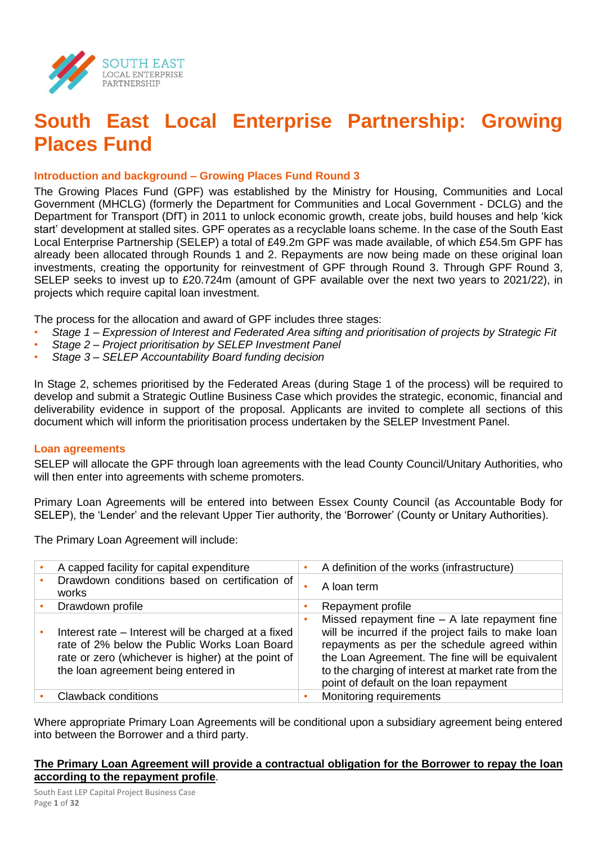

## **South East Local Enterprise Partnership: Growing Places Fund**

#### **Introduction and background – Growing Places Fund Round 3**

The Growing Places Fund (GPF) was established by the Ministry for Housing, Communities and Local Government (MHCLG) (formerly the Department for Communities and Local Government - DCLG) and the Department for Transport (DfT) in 2011 to unlock economic growth, create jobs, build houses and help 'kick start' development at stalled sites. GPF operates as a recyclable loans scheme. In the case of the South East Local Enterprise Partnership (SELEP) a total of £49.2m GPF was made available, of which £54.5m GPF has already been allocated through Rounds 1 and 2. Repayments are now being made on these original loan investments, creating the opportunity for reinvestment of GPF through Round 3. Through GPF Round 3, SELEP seeks to invest up to £20.724m (amount of GPF available over the next two years to 2021/22), in projects which require capital loan investment.

The process for the allocation and award of GPF includes three stages:

- *Stage 1 – Expression of Interest and Federated Area sifting and prioritisation of projects by Strategic Fit*
- *Stage 2 – Project prioritisation by SELEP Investment Panel*
- *Stage 3 – SELEP Accountability Board funding decision*

In Stage 2, schemes prioritised by the Federated Areas (during Stage 1 of the process) will be required to develop and submit a Strategic Outline Business Case which provides the strategic, economic, financial and deliverability evidence in support of the proposal. Applicants are invited to complete all sections of this document which will inform the prioritisation process undertaken by the SELEP Investment Panel.

#### **Loan agreements**

SELEP will allocate the GPF through loan agreements with the lead County Council/Unitary Authorities, who will then enter into agreements with scheme promoters.

Primary Loan Agreements will be entered into between Essex County Council (as Accountable Body for SELEP), the 'Lender' and the relevant Upper Tier authority, the 'Borrower' (County or Unitary Authorities).

The Primary Loan Agreement will include:

| A capped facility for capital expenditure                                                                                                                                                        | A definition of the works (infrastructure)                                                                                                                                                                                                                                                                |
|--------------------------------------------------------------------------------------------------------------------------------------------------------------------------------------------------|-----------------------------------------------------------------------------------------------------------------------------------------------------------------------------------------------------------------------------------------------------------------------------------------------------------|
| Drawdown conditions based on certification of<br>works                                                                                                                                           | A loan term                                                                                                                                                                                                                                                                                               |
| Drawdown profile                                                                                                                                                                                 | Repayment profile                                                                                                                                                                                                                                                                                         |
| Interest rate – Interest will be charged at a fixed<br>rate of 2% below the Public Works Loan Board<br>rate or zero (whichever is higher) at the point of<br>the loan agreement being entered in | Missed repayment fine $-$ A late repayment fine<br>will be incurred if the project fails to make loan<br>repayments as per the schedule agreed within<br>the Loan Agreement. The fine will be equivalent<br>to the charging of interest at market rate from the<br>point of default on the loan repayment |
| <b>Clawback conditions</b>                                                                                                                                                                       | Monitoring requirements                                                                                                                                                                                                                                                                                   |

Where appropriate Primary Loan Agreements will be conditional upon a subsidiary agreement being entered into between the Borrower and a third party.

#### **The Primary Loan Agreement will provide a contractual obligation for the Borrower to repay the loan according to the repayment profile**.

South East LEP Capital Project Business Case Page **1** of **32**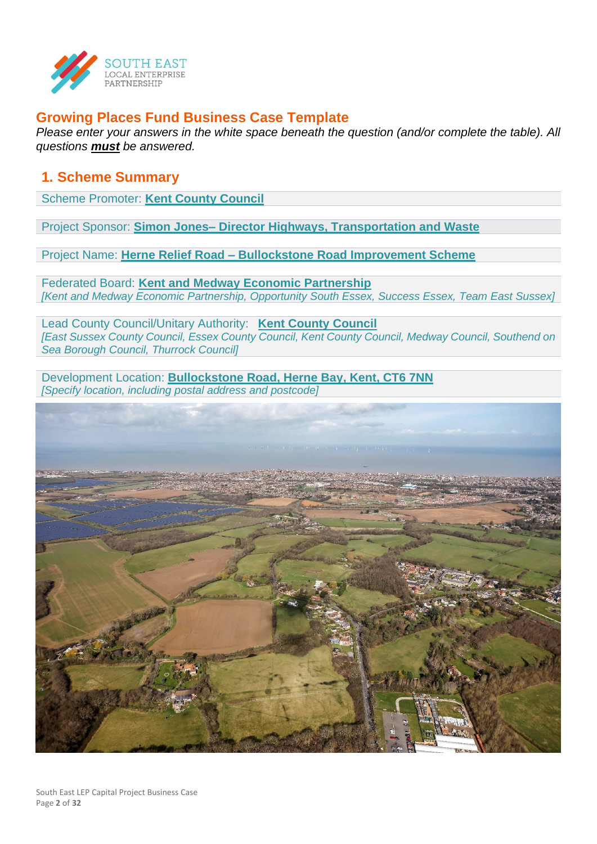

## **Growing Places Fund Business Case Template**

*Please enter your answers in the white space beneath the question (and/or complete the table). All questions must be answered.*

## **1. Scheme Summary**

Scheme Promoter: **Kent County Council**

Project Sponsor: **Simon Jones– Director Highways, Transportation and Waste**

Project Name: **Herne Relief Road – Bullockstone Road Improvement Scheme**

Federated Board: **Kent and Medway Economic Partnership** *[Kent and Medway Economic Partnership, Opportunity South Essex, Success Essex, Team East Sussex]*

Lead County Council/Unitary Authority: **Kent County Council** *[East Sussex County Council, Essex County Council, Kent County Council, Medway Council, Southend on Sea Borough Council, Thurrock Council]*

Development Location: **Bullockstone Road, Herne Bay, Kent, CT6 7NN** *[Specify location, including postal address and postcode]*

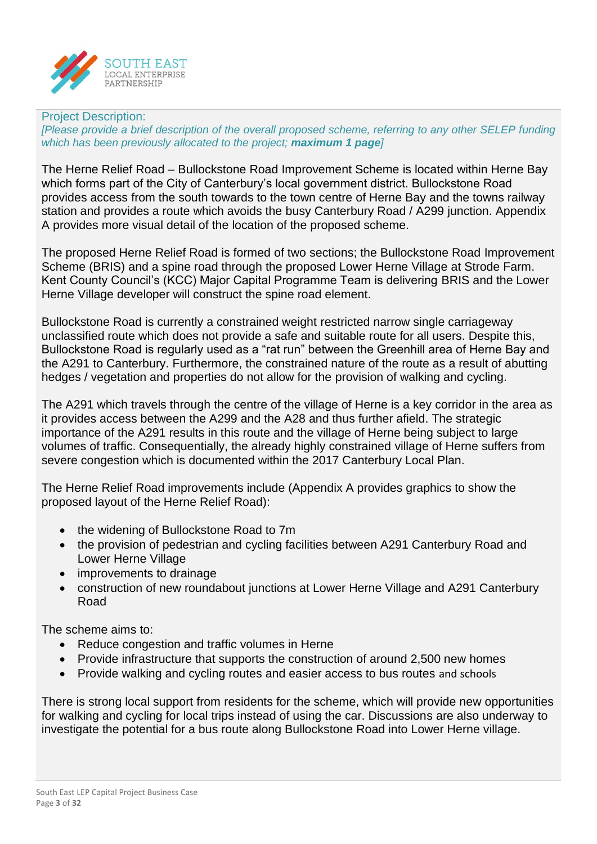

#### Project Description:

*[Please provide a brief description of the overall proposed scheme, referring to any other SELEP funding which has been previously allocated to the project; maximum 1 page]*

The Herne Relief Road – Bullockstone Road Improvement Scheme is located within Herne Bay which forms part of the City of Canterbury's local government district. Bullockstone Road provides access from the south towards to the town centre of Herne Bay and the towns railway station and provides a route which avoids the busy Canterbury Road / A299 junction. Appendix A provides more visual detail of the location of the proposed scheme.

The proposed Herne Relief Road is formed of two sections; the Bullockstone Road Improvement Scheme (BRIS) and a spine road through the proposed Lower Herne Village at Strode Farm. Kent County Council's (KCC) Major Capital Programme Team is delivering BRIS and the Lower Herne Village developer will construct the spine road element.

Bullockstone Road is currently a constrained weight restricted narrow single carriageway unclassified route which does not provide a safe and suitable route for all users. Despite this, Bullockstone Road is regularly used as a "rat run" between the Greenhill area of Herne Bay and the A291 to Canterbury. Furthermore, the constrained nature of the route as a result of abutting hedges / vegetation and properties do not allow for the provision of walking and cycling.

The A291 which travels through the centre of the village of Herne is a key corridor in the area as it provides access between the A299 and the A28 and thus further afield. The strategic importance of the A291 results in this route and the village of Herne being subject to large volumes of traffic. Consequentially, the already highly constrained village of Herne suffers from severe congestion which is documented within the 2017 Canterbury Local Plan.

The Herne Relief Road improvements include (Appendix A provides graphics to show the proposed layout of the Herne Relief Road):

- the widening of Bullockstone Road to 7m
- the provision of pedestrian and cycling facilities between A291 Canterbury Road and Lower Herne Village
- improvements to drainage
- construction of new roundabout junctions at Lower Herne Village and A291 Canterbury Road

The scheme aims to:

- Reduce congestion and traffic volumes in Herne
- Provide infrastructure that supports the construction of around 2,500 new homes
- Provide walking and cycling routes and easier access to bus routes and schools

There is strong local support from residents for the scheme, which will provide new opportunities for walking and cycling for local trips instead of using the car. Discussions are also underway to investigate the potential for a bus route along Bullockstone Road into Lower Herne village.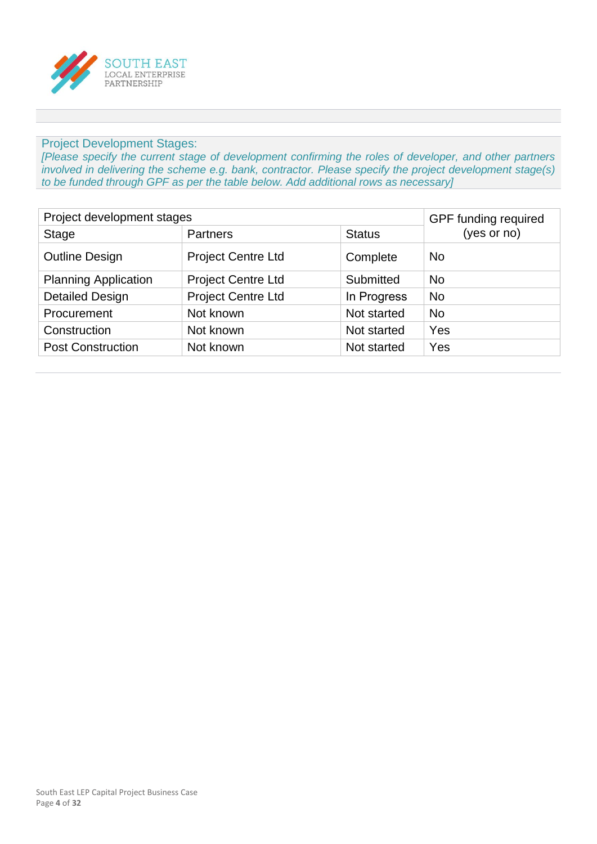

#### Project Development Stages:

*[Please specify the current stage of development confirming the roles of developer, and other partners involved in delivering the scheme e.g. bank, contractor. Please specify the project development stage(s) to be funded through GPF as per the table below. Add additional rows as necessary]*

| Project development stages  | GPF funding required      |               |             |
|-----------------------------|---------------------------|---------------|-------------|
| <b>Stage</b>                | <b>Partners</b>           | <b>Status</b> | (yes or no) |
| <b>Outline Design</b>       | <b>Project Centre Ltd</b> | Complete      | <b>No</b>   |
| <b>Planning Application</b> | <b>Project Centre Ltd</b> | Submitted     | <b>No</b>   |
| <b>Detailed Design</b>      | <b>Project Centre Ltd</b> | In Progress   | <b>No</b>   |
| Procurement                 | Not known                 | Not started   | <b>No</b>   |
| Construction                | Not known                 | Not started   | Yes         |
| <b>Post Construction</b>    | Not known                 | Not started   | Yes         |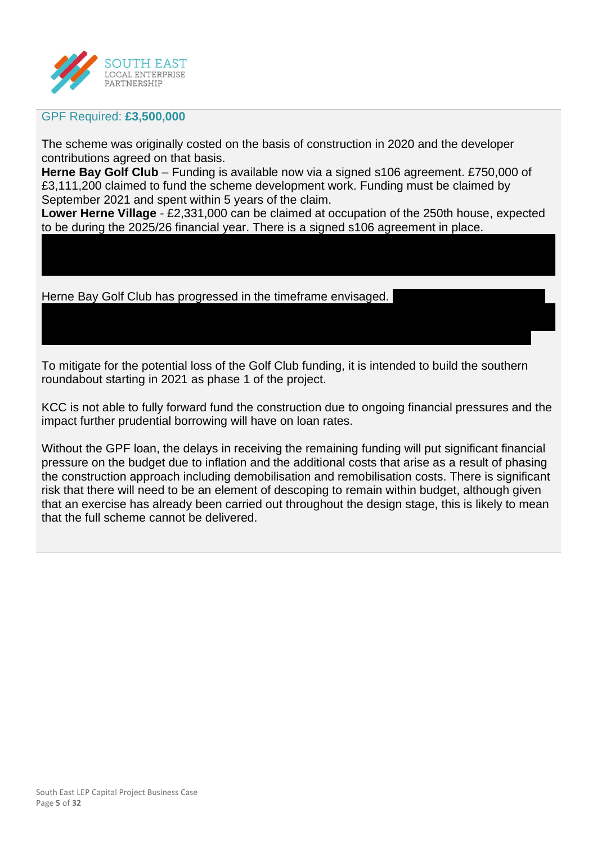

#### GPF Required: **£3,500,000**

The scheme was originally costed on the basis of construction in 2020 and the developer contributions agreed on that basis.

**Herne Bay Golf Club** – Funding is available now via a signed s106 agreement. £750,000 of £3,111,200 claimed to fund the scheme development work. Funding must be claimed by September 2021 and spent within 5 years of the claim.

**Lower Herne Village** - £2,331,000 can be claimed at occupation of the 250th house, expected to be during the 2025/26 financial year. There is a signed s106 agreement in place.

Herne Bay Golf Club has progressed in the timeframe envisaged.

To mitigate for the potential loss of the Golf Club funding, it is intended to build the southern roundabout starting in 2021 as phase 1 of the project.

KCC is not able to fully forward fund the construction due to ongoing financial pressures and the impact further prudential borrowing will have on loan rates.

Without the GPF loan, the delays in receiving the remaining funding will put significant financial pressure on the budget due to inflation and the additional costs that arise as a result of phasing the construction approach including demobilisation and remobilisation costs. There is significant risk that there will need to be an element of descoping to remain within budget, although given that an exercise has already been carried out throughout the design stage, this is likely to mean that the full scheme cannot be delivered.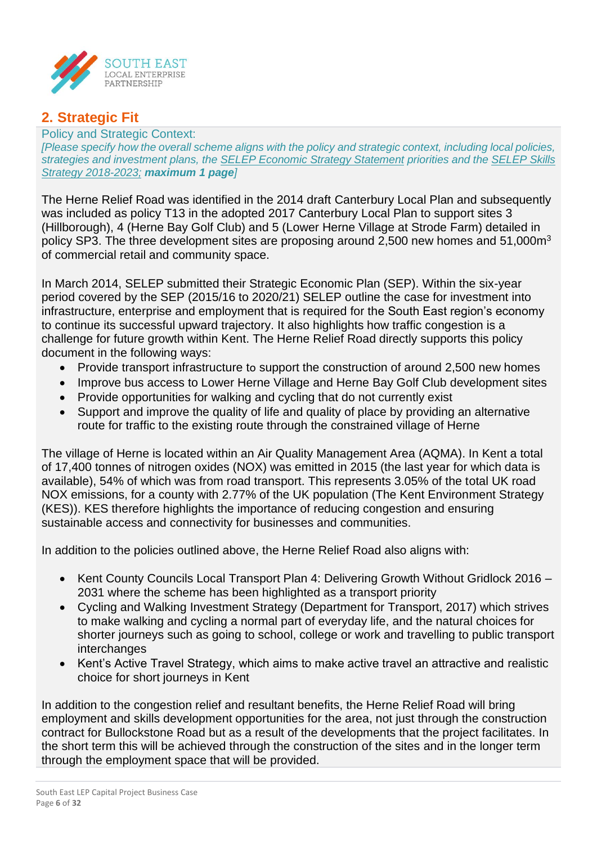

## **2. Strategic Fit**

Policy and Strategic Context: *[Please specify how the overall scheme aligns with the policy and strategic context, including local policies, strategies and investment plans, the [SELEP Economic Strategy Statement](https://www.southeastlep.com/app/uploads/2019/03/SELEP_StratEconState_singles.pdf) priorities and the [SELEP Skills](https://www.southeastlep.com/app/uploads/2018/09/SELEP-Skills-Strategy-v14-0818-WEB.pdf)  [Strategy 2018-2023;](https://www.southeastlep.com/app/uploads/2018/09/SELEP-Skills-Strategy-v14-0818-WEB.pdf) maximum 1 page]*

The Herne Relief Road was identified in the 2014 draft Canterbury Local Plan and subsequently was included as policy T13 in the adopted 2017 Canterbury Local Plan to support sites 3 (Hillborough), 4 (Herne Bay Golf Club) and 5 (Lower Herne Village at Strode Farm) detailed in policy SP3. The three development sites are proposing around 2,500 new homes and 51,000m<sup>3</sup> of commercial retail and community space.

In March 2014, SELEP submitted their Strategic Economic Plan (SEP). Within the six-year period covered by the SEP (2015/16 to 2020/21) SELEP outline the case for investment into infrastructure, enterprise and employment that is required for the South East region's economy to continue its successful upward trajectory. It also highlights how traffic congestion is a challenge for future growth within Kent. The Herne Relief Road directly supports this policy document in the following ways:

- Provide transport infrastructure to support the construction of around 2,500 new homes
- Improve bus access to Lower Herne Village and Herne Bay Golf Club development sites
- Provide opportunities for walking and cycling that do not currently exist
- Support and improve the quality of life and quality of place by providing an alternative route for traffic to the existing route through the constrained village of Herne

The village of Herne is located within an Air Quality Management Area (AQMA). In Kent a total of 17,400 tonnes of nitrogen oxides (NOX) was emitted in 2015 (the last year for which data is available), 54% of which was from road transport. This represents 3.05% of the total UK road NOX emissions, for a county with 2.77% of the UK population (The Kent Environment Strategy (KES)). KES therefore highlights the importance of reducing congestion and ensuring sustainable access and connectivity for businesses and communities.

In addition to the policies outlined above, the Herne Relief Road also aligns with:

- Kent County Councils Local Transport Plan 4: Delivering Growth Without Gridlock 2016 2031 where the scheme has been highlighted as a transport priority
- Cycling and Walking Investment Strategy (Department for Transport, 2017) which strives to make walking and cycling a normal part of everyday life, and the natural choices for shorter journeys such as going to school, college or work and travelling to public transport interchanges
- Kent's Active Travel Strategy, which aims to make active travel an attractive and realistic choice for short journeys in Kent

In addition to the congestion relief and resultant benefits, the Herne Relief Road will bring employment and skills development opportunities for the area, not just through the construction contract for Bullockstone Road but as a result of the developments that the project facilitates. In the short term this will be achieved through the construction of the sites and in the longer term through the employment space that will be provided.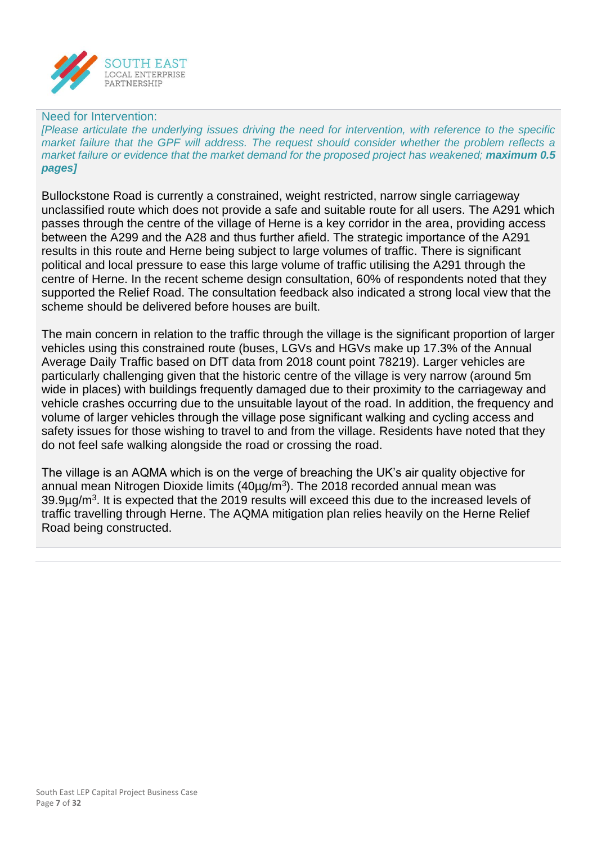

#### Need for Intervention:

*[Please articulate the underlying issues driving the need for intervention, with reference to the specific market failure that the GPF will address. The request should consider whether the problem reflects a market failure or evidence that the market demand for the proposed project has weakened; maximum 0.5 pages]*

Bullockstone Road is currently a constrained, weight restricted, narrow single carriageway unclassified route which does not provide a safe and suitable route for all users. The A291 which passes through the centre of the village of Herne is a key corridor in the area, providing access between the A299 and the A28 and thus further afield. The strategic importance of the A291 results in this route and Herne being subject to large volumes of traffic. There is significant political and local pressure to ease this large volume of traffic utilising the A291 through the centre of Herne. In the recent scheme design consultation, 60% of respondents noted that they supported the Relief Road. The consultation feedback also indicated a strong local view that the scheme should be delivered before houses are built.

The main concern in relation to the traffic through the village is the significant proportion of larger vehicles using this constrained route (buses, LGVs and HGVs make up 17.3% of the Annual Average Daily Traffic based on DfT data from 2018 count point 78219). Larger vehicles are particularly challenging given that the historic centre of the village is very narrow (around 5m wide in places) with buildings frequently damaged due to their proximity to the carriageway and vehicle crashes occurring due to the unsuitable layout of the road. In addition, the frequency and volume of larger vehicles through the village pose significant walking and cycling access and safety issues for those wishing to travel to and from the village. Residents have noted that they do not feel safe walking alongside the road or crossing the road.

The village is an AQMA which is on the verge of breaching the UK's air quality objective for annual mean Nitrogen Dioxide limits (40µg/m<sup>3</sup>). The 2018 recorded annual mean was 39.9µg/m<sup>3</sup>. It is expected that the 2019 results will exceed this due to the increased levels of traffic travelling through Herne. The AQMA mitigation plan relies heavily on the Herne Relief Road being constructed.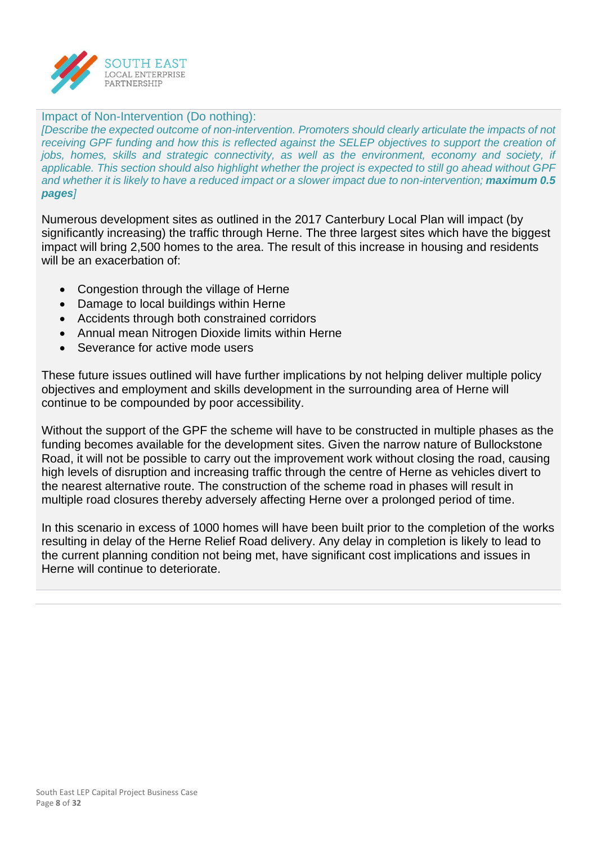

#### Impact of Non-Intervention (Do nothing):

*[Describe the expected outcome of non-intervention. Promoters should clearly articulate the impacts of not receiving GPF funding and how this is reflected against the SELEP objectives to support the creation of jobs, homes, skills and strategic connectivity, as well as the environment, economy and society, if applicable. This section should also highlight whether the project is expected to still go ahead without GPF and whether it is likely to have a reduced impact or a slower impact due to non-intervention; maximum 0.5 pages]*

Numerous development sites as outlined in the 2017 Canterbury Local Plan will impact (by significantly increasing) the traffic through Herne. The three largest sites which have the biggest impact will bring 2,500 homes to the area. The result of this increase in housing and residents will be an exacerbation of:

- Congestion through the village of Herne
- Damage to local buildings within Herne
- Accidents through both constrained corridors
- Annual mean Nitrogen Dioxide limits within Herne
- Severance for active mode users

These future issues outlined will have further implications by not helping deliver multiple policy objectives and employment and skills development in the surrounding area of Herne will continue to be compounded by poor accessibility.

Without the support of the GPF the scheme will have to be constructed in multiple phases as the funding becomes available for the development sites. Given the narrow nature of Bullockstone Road, it will not be possible to carry out the improvement work without closing the road, causing high levels of disruption and increasing traffic through the centre of Herne as vehicles divert to the nearest alternative route. The construction of the scheme road in phases will result in multiple road closures thereby adversely affecting Herne over a prolonged period of time.

In this scenario in excess of 1000 homes will have been built prior to the completion of the works resulting in delay of the Herne Relief Road delivery. Any delay in completion is likely to lead to the current planning condition not being met, have significant cost implications and issues in Herne will continue to deteriorate.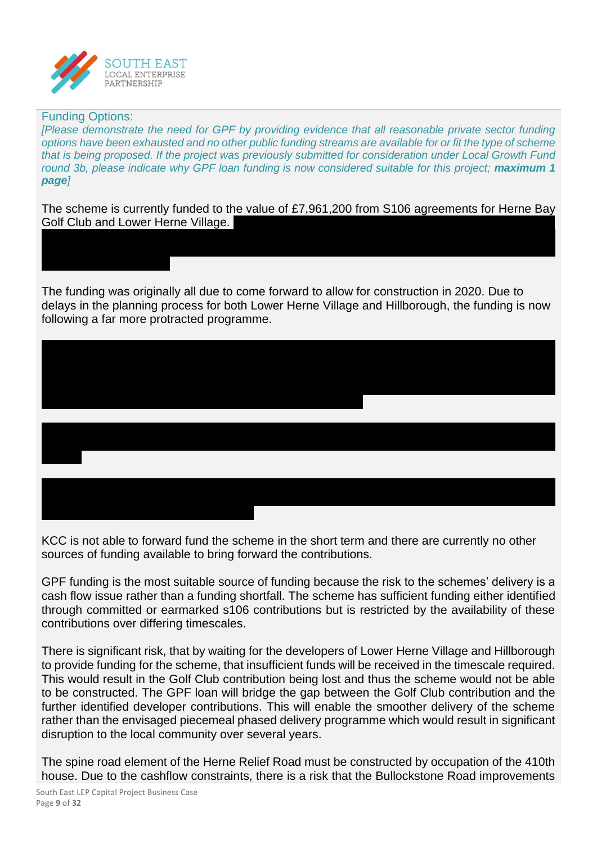

#### Funding Options:

*[Please demonstrate the need for GPF by providing evidence that all reasonable private sector funding options have been exhausted and no other public funding streams are available for or fit the type of scheme that is being proposed. If the project was previously submitted for consideration under Local Growth Fund round 3b, please indicate why GPF loan funding is now considered suitable for this project; maximum 1 page]*

The scheme is currently funded to the value of £7,961,200 from S106 agreements for Herne Bay **Golf Club and Lower Herne Village.** 

The funding was originally all due to come forward to allow for construction in 2020. Due to delays in the planning process for both Lower Herne Village and Hillborough, the funding is now following a far more protracted programme.

KCC is not able to forward fund the scheme in the short term and there are currently no other sources of funding available to bring forward the contributions.

GPF funding is the most suitable source of funding because the risk to the schemes' delivery is a cash flow issue rather than a funding shortfall. The scheme has sufficient funding either identified through committed or earmarked s106 contributions but is restricted by the availability of these contributions over differing timescales.

There is significant risk, that by waiting for the developers of Lower Herne Village and Hillborough to provide funding for the scheme, that insufficient funds will be received in the timescale required. This would result in the Golf Club contribution being lost and thus the scheme would not be able to be constructed. The GPF loan will bridge the gap between the Golf Club contribution and the further identified developer contributions. This will enable the smoother delivery of the scheme rather than the envisaged piecemeal phased delivery programme which would result in significant disruption to the local community over several years.

The spine road element of the Herne Relief Road must be constructed by occupation of the 410th house. Due to the cashflow constraints, there is a risk that the Bullockstone Road improvements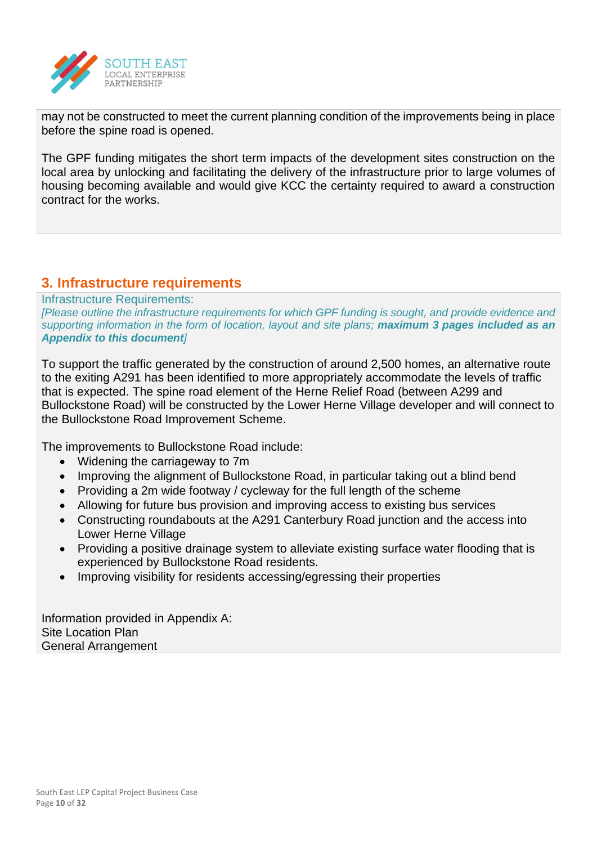

may not be constructed to meet the current planning condition of the improvements being in place before the spine road is opened.

The GPF funding mitigates the short term impacts of the development sites construction on the local area by unlocking and facilitating the delivery of the infrastructure prior to large volumes of housing becoming available and would give KCC the certainty required to award a construction contract for the works.

## **3. Infrastructure requirements**

Infrastructure Requirements: *[Please outline the infrastructure requirements for which GPF funding is sought, and provide evidence and supporting information in the form of location, layout and site plans; maximum 3 pages included as an Appendix to this document]*

To support the traffic generated by the construction of around 2,500 homes, an alternative route to the exiting A291 has been identified to more appropriately accommodate the levels of traffic that is expected. The spine road element of the Herne Relief Road (between A299 and Bullockstone Road) will be constructed by the Lower Herne Village developer and will connect to the Bullockstone Road Improvement Scheme.

The improvements to Bullockstone Road include:

- Widening the carriageway to 7m
- Improving the alignment of Bullockstone Road, in particular taking out a blind bend
- Providing a 2m wide footway / cycleway for the full length of the scheme
- Allowing for future bus provision and improving access to existing bus services
- Constructing roundabouts at the A291 Canterbury Road junction and the access into Lower Herne Village
- Providing a positive drainage system to alleviate existing surface water flooding that is experienced by Bullockstone Road residents.
- Improving visibility for residents accessing/egressing their properties

Information provided in Appendix A: Site Location Plan General Arrangement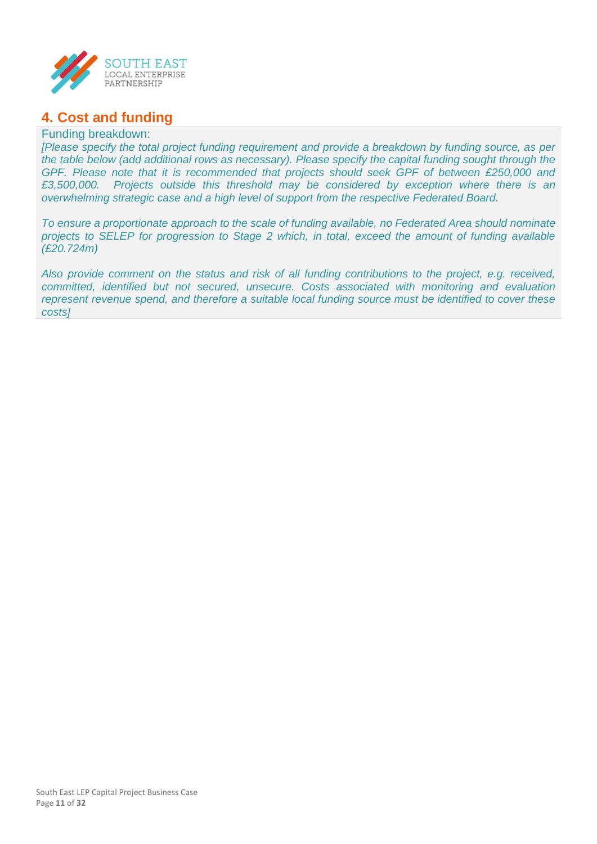

## **4. Cost and funding**

#### Funding breakdown:

*[Please specify the total project funding requirement and provide a breakdown by funding source, as per the table below (add additional rows as necessary). Please specify the capital funding sought through the GPF. Please note that it is recommended that projects should seek GPF of between £250,000 and £3,500,000. Projects outside this threshold may be considered by exception where there is an overwhelming strategic case and a high level of support from the respective Federated Board.*

*To ensure a proportionate approach to the scale of funding available, no Federated Area should nominate projects to SELEP for progression to Stage 2 which, in total, exceed the amount of funding available (£20.724m)*

*Also provide comment on the status and risk of all funding contributions to the project, e.g. received, committed, identified but not secured, unsecure. Costs associated with monitoring and evaluation represent revenue spend, and therefore a suitable local funding source must be identified to cover these costs]*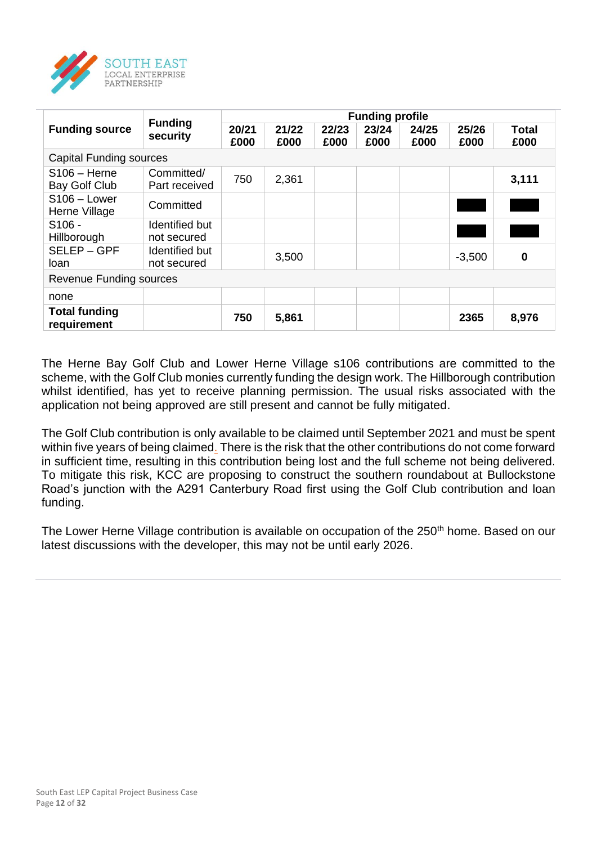

|                                     |                               | <b>Funding profile</b> |               |               |               |               |               |               |  |  |
|-------------------------------------|-------------------------------|------------------------|---------------|---------------|---------------|---------------|---------------|---------------|--|--|
| <b>Funding source</b>               | <b>Funding</b><br>security    | 20/21<br>£000          | 21/22<br>£000 | 22/23<br>£000 | 23/24<br>£000 | 24/25<br>£000 | 25/26<br>£000 | Total<br>£000 |  |  |
| <b>Capital Funding sources</b>      |                               |                        |               |               |               |               |               |               |  |  |
| $S106 -$ Herne<br>Bay Golf Club     | Committed/<br>Part received   | 750                    | 2,361         |               |               |               |               | 3,111         |  |  |
| $S106 - Lower$<br>Herne Village     | Committed                     |                        |               |               |               |               |               |               |  |  |
| $S106 -$<br>Hillborough             | Identified but<br>not secured |                        |               |               |               |               |               |               |  |  |
| SELEP-GPF<br>loan                   | Identified but<br>not secured |                        | 3,500         |               |               |               | $-3,500$      | $\bf{0}$      |  |  |
| <b>Revenue Funding sources</b>      |                               |                        |               |               |               |               |               |               |  |  |
| none                                |                               |                        |               |               |               |               |               |               |  |  |
| <b>Total funding</b><br>requirement |                               | 750                    | 5,861         |               |               |               | 2365          | 8,976         |  |  |

The Herne Bay Golf Club and Lower Herne Village s106 contributions are committed to the scheme, with the Golf Club monies currently funding the design work. The Hillborough contribution whilst identified, has yet to receive planning permission. The usual risks associated with the application not being approved are still present and cannot be fully mitigated.

The Golf Club contribution is only available to be claimed until September 2021 and must be spent within five years of being claimed. There is the risk that the other contributions do not come forward in sufficient time, resulting in this contribution being lost and the full scheme not being delivered. To mitigate this risk, KCC are proposing to construct the southern roundabout at Bullockstone Road's junction with the A291 Canterbury Road first using the Golf Club contribution and loan funding.

The Lower Herne Village contribution is available on occupation of the 250<sup>th</sup> home. Based on our latest discussions with the developer, this may not be until early 2026.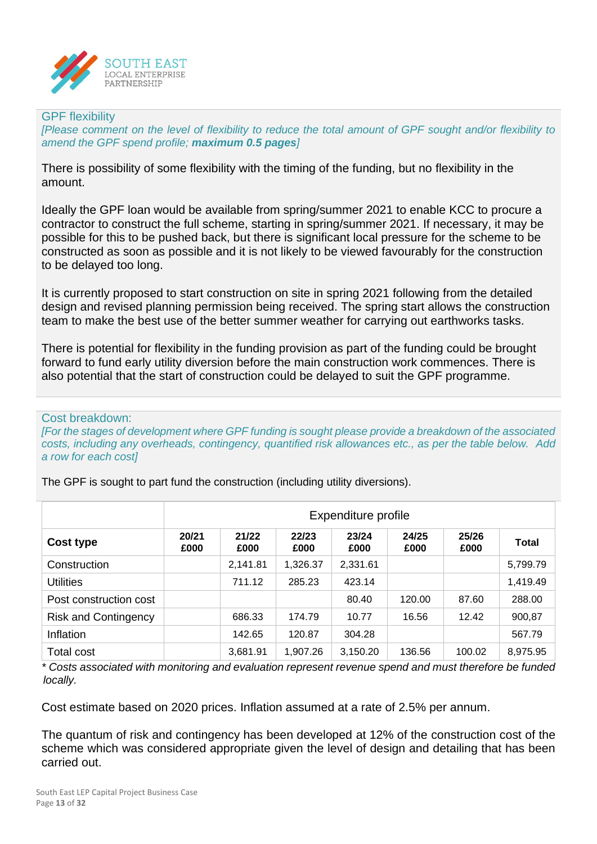

#### GPF flexibility

*[Please comment on the level of flexibility to reduce the total amount of GPF sought and/or flexibility to amend the GPF spend profile; maximum 0.5 pages]*

There is possibility of some flexibility with the timing of the funding, but no flexibility in the amount.

Ideally the GPF loan would be available from spring/summer 2021 to enable KCC to procure a contractor to construct the full scheme, starting in spring/summer 2021. If necessary, it may be possible for this to be pushed back, but there is significant local pressure for the scheme to be constructed as soon as possible and it is not likely to be viewed favourably for the construction to be delayed too long.

It is currently proposed to start construction on site in spring 2021 following from the detailed design and revised planning permission being received. The spring start allows the construction team to make the best use of the better summer weather for carrying out earthworks tasks.

There is potential for flexibility in the funding provision as part of the funding could be brought forward to fund early utility diversion before the main construction work commences. There is also potential that the start of construction could be delayed to suit the GPF programme.

#### Cost breakdown:

*[For the stages of development where GPF funding is sought please provide a breakdown of the associated costs, including any overheads, contingency, quantified risk allowances etc., as per the table below. Add a row for each cost]*

|                             | Expenditure profile |               |               |               |               |               |              |  |
|-----------------------------|---------------------|---------------|---------------|---------------|---------------|---------------|--------------|--|
| Cost type                   | 20/21<br>£000       | 21/22<br>£000 | 22/23<br>£000 | 23/24<br>£000 | 24/25<br>£000 | 25/26<br>£000 | <b>Total</b> |  |
| Construction                |                     | 2,141.81      | 1,326.37      | 2,331.61      |               |               | 5,799.79     |  |
| <b>Utilities</b>            |                     | 711.12        | 285.23        | 423.14        |               |               | 1,419.49     |  |
| Post construction cost      |                     |               |               | 80.40         | 120.00        | 87.60         | 288.00       |  |
| <b>Risk and Contingency</b> |                     | 686.33        | 174.79        | 10.77         | 16.56         | 12.42         | 900,87       |  |
| Inflation                   |                     | 142.65        | 120.87        | 304.28        |               |               | 567.79       |  |
| <b>Total cost</b>           |                     | 3,681.91      | 1,907.26      | 3,150.20      | 136.56        | 100.02        | 8,975.95     |  |

The GPF is sought to part fund the construction (including utility diversions).

*\* Costs associated with monitoring and evaluation represent revenue spend and must therefore be funded locally.*

Cost estimate based on 2020 prices. Inflation assumed at a rate of 2.5% per annum.

The quantum of risk and contingency has been developed at 12% of the construction cost of the scheme which was considered appropriate given the level of design and detailing that has been carried out.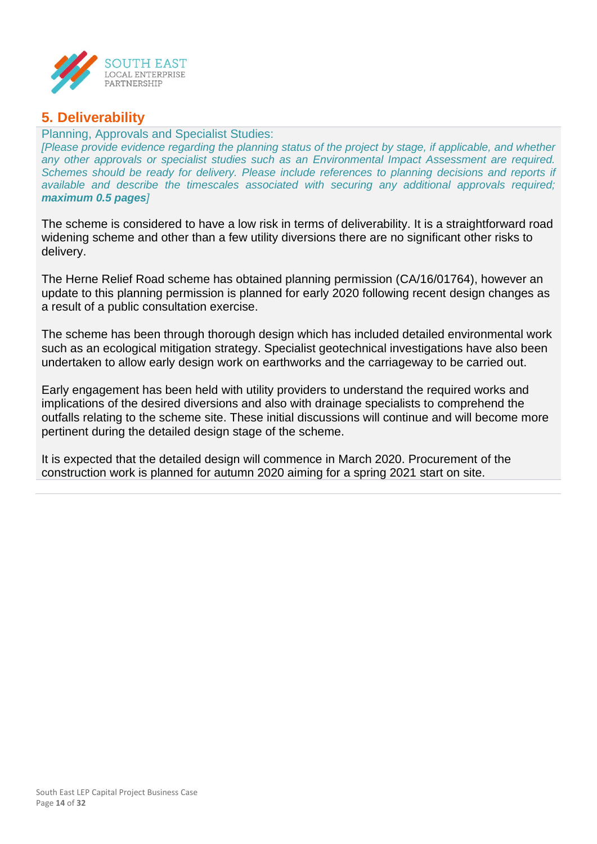

## **5. Deliverability**

#### Planning, Approvals and Specialist Studies:

*[Please provide evidence regarding the planning status of the project by stage, if applicable, and whether any other approvals or specialist studies such as an Environmental Impact Assessment are required. Schemes should be ready for delivery. Please include references to planning decisions and reports if available and describe the timescales associated with securing any additional approvals required; maximum 0.5 pages]*

The scheme is considered to have a low risk in terms of deliverability. It is a straightforward road widening scheme and other than a few utility diversions there are no significant other risks to delivery.

The Herne Relief Road scheme has obtained planning permission (CA/16/01764), however an update to this planning permission is planned for early 2020 following recent design changes as a result of a public consultation exercise.

The scheme has been through thorough design which has included detailed environmental work such as an ecological mitigation strategy. Specialist geotechnical investigations have also been undertaken to allow early design work on earthworks and the carriageway to be carried out.

Early engagement has been held with utility providers to understand the required works and implications of the desired diversions and also with drainage specialists to comprehend the outfalls relating to the scheme site. These initial discussions will continue and will become more pertinent during the detailed design stage of the scheme.

It is expected that the detailed design will commence in March 2020. Procurement of the construction work is planned for autumn 2020 aiming for a spring 2021 start on site.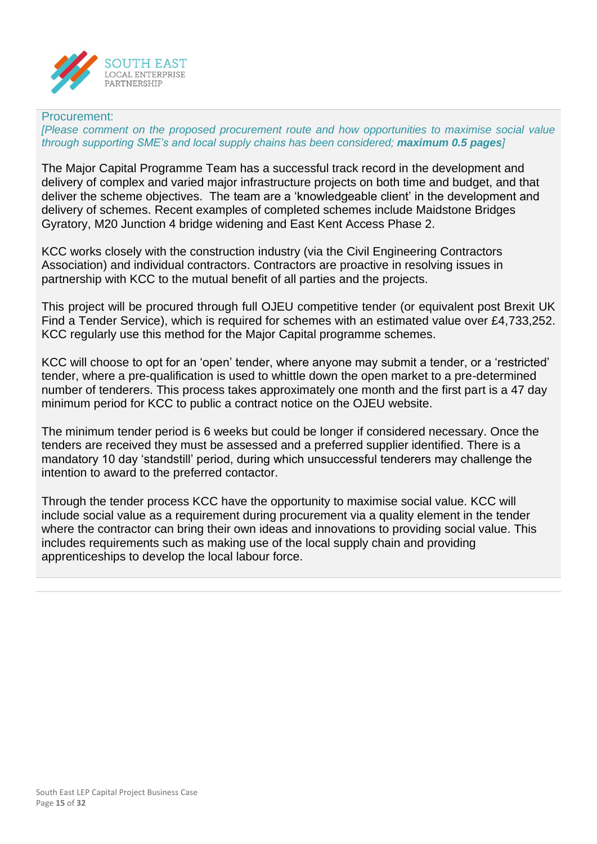

#### Procurement:

*[Please comment on the proposed procurement route and how opportunities to maximise social value through supporting SME's and local supply chains has been considered; maximum 0.5 pages]*

The Major Capital Programme Team has a successful track record in the development and delivery of complex and varied major infrastructure projects on both time and budget, and that deliver the scheme objectives. The team are a 'knowledgeable client' in the development and delivery of schemes. Recent examples of completed schemes include Maidstone Bridges Gyratory, M20 Junction 4 bridge widening and East Kent Access Phase 2.

KCC works closely with the construction industry (via the Civil Engineering Contractors Association) and individual contractors. Contractors are proactive in resolving issues in partnership with KCC to the mutual benefit of all parties and the projects.

This project will be procured through full OJEU competitive tender (or equivalent post Brexit UK Find a Tender Service), which is required for schemes with an estimated value over £4,733,252. KCC regularly use this method for the Major Capital programme schemes.

KCC will choose to opt for an 'open' tender, where anyone may submit a tender, or a 'restricted' tender, where a pre-qualification is used to whittle down the open market to a pre-determined number of tenderers. This process takes approximately one month and the first part is a 47 day minimum period for KCC to public a contract notice on the OJEU website.

The minimum tender period is 6 weeks but could be longer if considered necessary. Once the tenders are received they must be assessed and a preferred supplier identified. There is a mandatory 10 day 'standstill' period, during which unsuccessful tenderers may challenge the intention to award to the preferred contactor.

Through the tender process KCC have the opportunity to maximise social value. KCC will include social value as a requirement during procurement via a quality element in the tender where the contractor can bring their own ideas and innovations to providing social value. This includes requirements such as making use of the local supply chain and providing apprenticeships to develop the local labour force.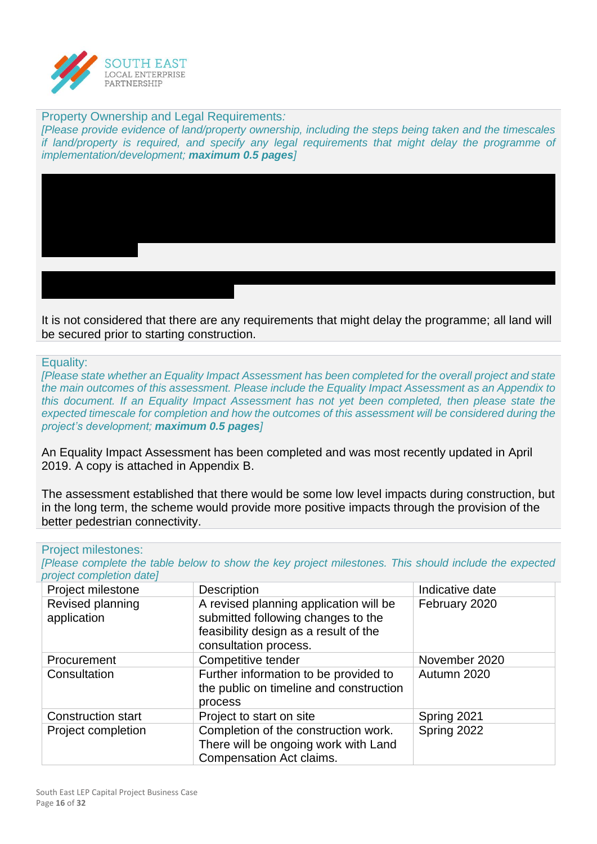

#### Property Ownership and Legal Requirements*:*

*[Please provide evidence of land/property ownership, including the steps being taken and the timescales if land/property is required, and specify any legal requirements that might delay the programme of implementation/development; maximum 0.5 pages]*

It is not considered that there are any requirements that might delay the programme; all land will be secured prior to starting construction.

Equality:

*[Please state whether an Equality Impact Assessment has been completed for the overall project and state the main outcomes of this assessment. Please include the Equality Impact Assessment as an Appendix to this document. If an Equality Impact Assessment has not yet been completed, then please state the expected timescale for completion and how the outcomes of this assessment will be considered during the project's development; maximum 0.5 pages]*

An Equality Impact Assessment has been completed and was most recently updated in April 2019. A copy is attached in Appendix B.

The assessment established that there would be some low level impacts during construction, but in the long term, the scheme would provide more positive impacts through the provision of the better pedestrian connectivity.

#### Project milestones:

*[Please complete the table below to show the key project milestones. This should include the expected project completion date]*

| Project milestone               | <b>Description</b>                                                                                                                             | Indicative date |
|---------------------------------|------------------------------------------------------------------------------------------------------------------------------------------------|-----------------|
| Revised planning<br>application | A revised planning application will be<br>submitted following changes to the<br>feasibility design as a result of the<br>consultation process. | February 2020   |
| Procurement                     | Competitive tender                                                                                                                             | November 2020   |
| Consultation                    | Further information to be provided to<br>the public on timeline and construction<br>process                                                    | Autumn 2020     |
| <b>Construction start</b>       | Project to start on site                                                                                                                       | Spring 2021     |
| Project completion              | Completion of the construction work.<br>There will be ongoing work with Land<br>Compensation Act claims.                                       | Spring 2022     |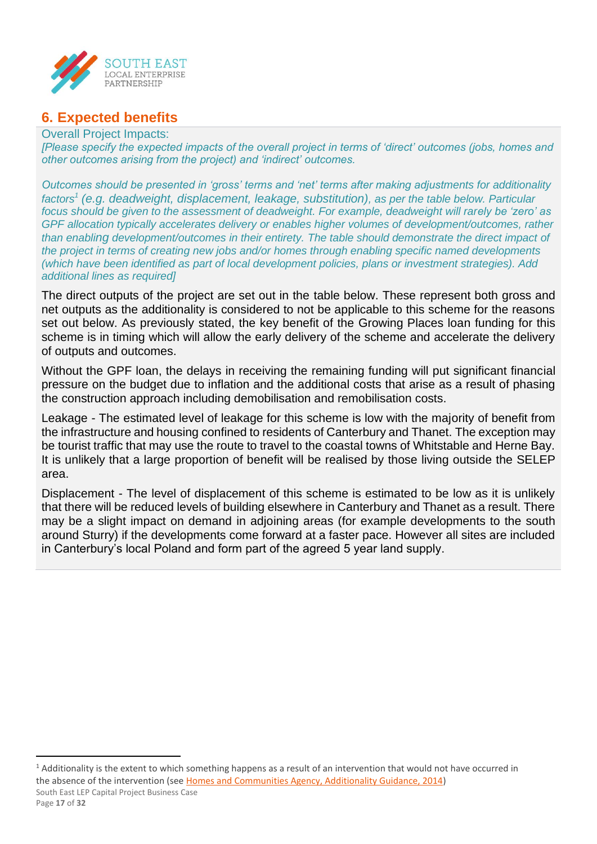

## **6. Expected benefits**

#### Overall Project Impacts:

*[Please specify the expected impacts of the overall project in terms of 'direct' outcomes (jobs, homes and other outcomes arising from the project) and 'indirect' outcomes.* 

*Outcomes should be presented in 'gross' terms and 'net' terms after making adjustments for additionality factors<sup>1</sup> (e.g. deadweight, displacement, leakage, substitution), as per the table below. Particular focus should be given to the assessment of deadweight. For example, deadweight will rarely be 'zero' as GPF allocation typically accelerates delivery or enables higher volumes of development/outcomes, rather than enabling development/outcomes in their entirety. The table should demonstrate the direct impact of the project in terms of creating new jobs and/or homes through enabling specific named developments (which have been identified as part of local development policies, plans or investment strategies). Add additional lines as required]*

The direct outputs of the project are set out in the table below. These represent both gross and net outputs as the additionality is considered to not be applicable to this scheme for the reasons set out below. As previously stated, the key benefit of the Growing Places loan funding for this scheme is in timing which will allow the early delivery of the scheme and accelerate the delivery of outputs and outcomes.

Without the GPF loan, the delays in receiving the remaining funding will put significant financial pressure on the budget due to inflation and the additional costs that arise as a result of phasing the construction approach including demobilisation and remobilisation costs.

Leakage - The estimated level of leakage for this scheme is low with the majority of benefit from the infrastructure and housing confined to residents of Canterbury and Thanet. The exception may be tourist traffic that may use the route to travel to the coastal towns of Whitstable and Herne Bay. It is unlikely that a large proportion of benefit will be realised by those living outside the SELEP area.

Displacement - The level of displacement of this scheme is estimated to be low as it is unlikely that there will be reduced levels of building elsewhere in Canterbury and Thanet as a result. There may be a slight impact on demand in adjoining areas (for example developments to the south around Sturry) if the developments come forward at a faster pace. However all sites are included in Canterbury's local Poland and form part of the agreed 5 year land supply.

South East LEP Capital Project Business Case Page **17** of **32**  $<sup>1</sup>$  Additionality is the extent to which something happens as a result of an intervention that would not have occurred in</sup> the absence of the intervention (se[e Homes and Communities Agency, Additionality Guidance, 2014\)](https://assets.publishing.service.gov.uk/government/uploads/system/uploads/attachment_data/file/378177/additionality_guide_2014_full.pdf)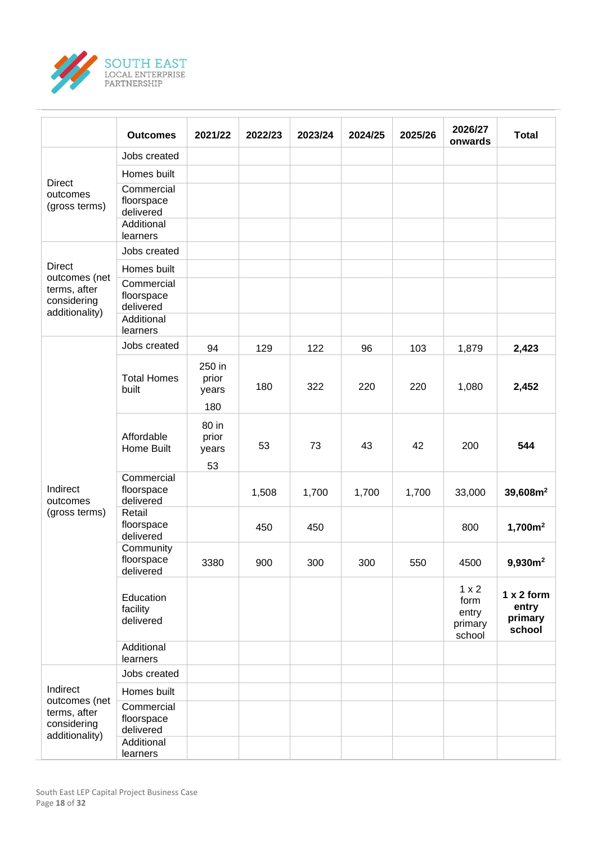

|                                                                                                                                                                                                                                                      | <b>Outcomes</b>                                     | 2021/22                  | 2022/23 | 2023/24 | 2024/25 | 2025/26 | 2026/27<br>onwards                                 | <b>Total</b>                             |
|------------------------------------------------------------------------------------------------------------------------------------------------------------------------------------------------------------------------------------------------------|-----------------------------------------------------|--------------------------|---------|---------|---------|---------|----------------------------------------------------|------------------------------------------|
| <b>Direct</b><br>outcomes<br>(gross terms)<br><b>Direct</b><br>outcomes (net<br>terms, after<br>considering<br>additionality)<br>Indirect<br>outcomes<br>(gross terms)<br>Indirect<br>outcomes (net<br>terms, after<br>considering<br>additionality) | Jobs created                                        |                          |         |         |         |         |                                                    |                                          |
|                                                                                                                                                                                                                                                      | Homes built                                         |                          |         |         |         |         |                                                    |                                          |
|                                                                                                                                                                                                                                                      | Commercial<br>floorspace<br>delivered               |                          |         |         |         |         |                                                    |                                          |
|                                                                                                                                                                                                                                                      | Additional<br>learners                              |                          |         |         |         |         |                                                    |                                          |
|                                                                                                                                                                                                                                                      | Jobs created                                        |                          |         |         |         |         |                                                    |                                          |
|                                                                                                                                                                                                                                                      | Homes built                                         |                          |         |         |         |         |                                                    |                                          |
|                                                                                                                                                                                                                                                      | Commercial<br>floorspace<br>delivered<br>Additional |                          |         |         |         |         |                                                    |                                          |
|                                                                                                                                                                                                                                                      | learners                                            |                          |         |         |         |         |                                                    |                                          |
|                                                                                                                                                                                                                                                      | Jobs created                                        | 94                       | 129     | 122     | 96      | 103     | 1,879                                              | 2,423                                    |
|                                                                                                                                                                                                                                                      | <b>Total Homes</b><br>built                         | 250 in<br>prior<br>years | 180     | 322     | 220     | 220     | 1,080                                              | 2,452                                    |
|                                                                                                                                                                                                                                                      |                                                     | 180                      |         |         |         |         |                                                    |                                          |
|                                                                                                                                                                                                                                                      | Affordable<br>Home Built                            | 80 in<br>prior<br>years  | 53      | 73      | 43      | 42      | 200                                                | 544                                      |
|                                                                                                                                                                                                                                                      |                                                     | 53                       |         |         |         |         |                                                    |                                          |
|                                                                                                                                                                                                                                                      | Commercial<br>floorspace<br>delivered               |                          | 1,508   | 1,700   | 1,700   | 1,700   | 33,000                                             | 39,608m <sup>2</sup>                     |
|                                                                                                                                                                                                                                                      | Retail<br>floorspace<br>delivered                   |                          | 450     | 450     |         |         | 800                                                | 1,700m <sup>2</sup>                      |
|                                                                                                                                                                                                                                                      | Community<br>floorspace<br>delivered                | 3380                     | 900     | 300     | 300     | 550     | 4500                                               | 9,930m <sup>2</sup>                      |
|                                                                                                                                                                                                                                                      | Education<br>facility<br>delivered                  |                          |         |         |         |         | $1 \times 2$<br>form<br>entry<br>primary<br>school | 1 x 2 form<br>entry<br>primary<br>school |
|                                                                                                                                                                                                                                                      | Additional<br>learners                              |                          |         |         |         |         |                                                    |                                          |
|                                                                                                                                                                                                                                                      | Jobs created                                        |                          |         |         |         |         |                                                    |                                          |
|                                                                                                                                                                                                                                                      | Homes built                                         |                          |         |         |         |         |                                                    |                                          |
|                                                                                                                                                                                                                                                      | Commercial<br>floorspace<br>delivered               |                          |         |         |         |         |                                                    |                                          |
|                                                                                                                                                                                                                                                      | Additional<br>learners                              |                          |         |         |         |         |                                                    |                                          |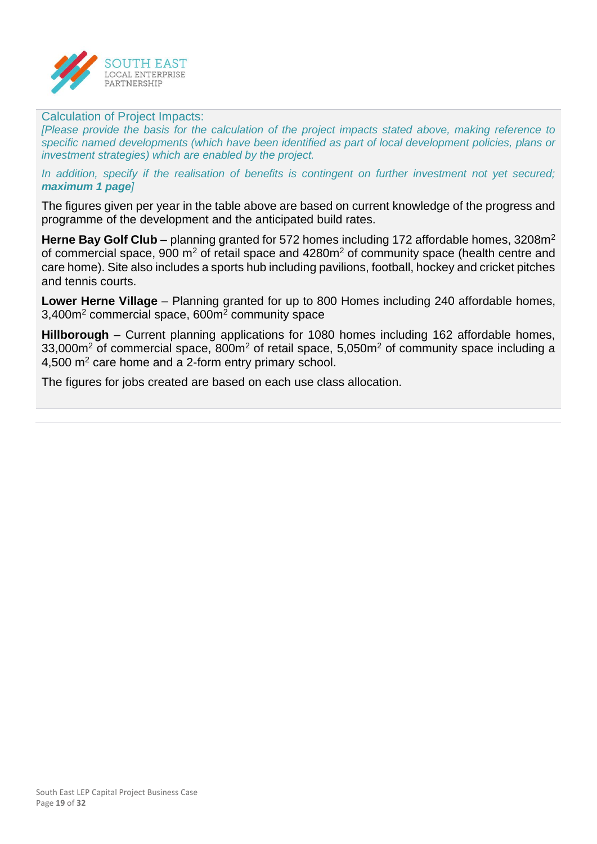

#### Calculation of Project Impacts:

*[Please provide the basis for the calculation of the project impacts stated above, making reference to specific named developments (which have been identified as part of local development policies, plans or investment strategies) which are enabled by the project.* 

In addition, specify if the realisation of benefits is contingent on further investment not vet secured; *maximum 1 page]*

The figures given per year in the table above are based on current knowledge of the progress and programme of the development and the anticipated build rates.

Herne Bay Golf Club – planning granted for 572 homes including 172 affordable homes, 3208m<sup>2</sup> of commercial space, 900  $m^2$  of retail space and 4280 $m^2$  of community space (health centre and care home). Site also includes a sports hub including pavilions, football, hockey and cricket pitches and tennis courts.

**Lower Herne Village** – Planning granted for up to 800 Homes including 240 affordable homes, 3,400m<sup>2</sup> commercial space, 600m<sup>2</sup> community space

**Hillborough** – Current planning applications for 1080 homes including 162 affordable homes, 33,000m<sup>2</sup> of commercial space, 800m<sup>2</sup> of retail space, 5,050m<sup>2</sup> of community space including a 4,500 m<sup>2</sup> care home and a 2-form entry primary school.

The figures for jobs created are based on each use class allocation.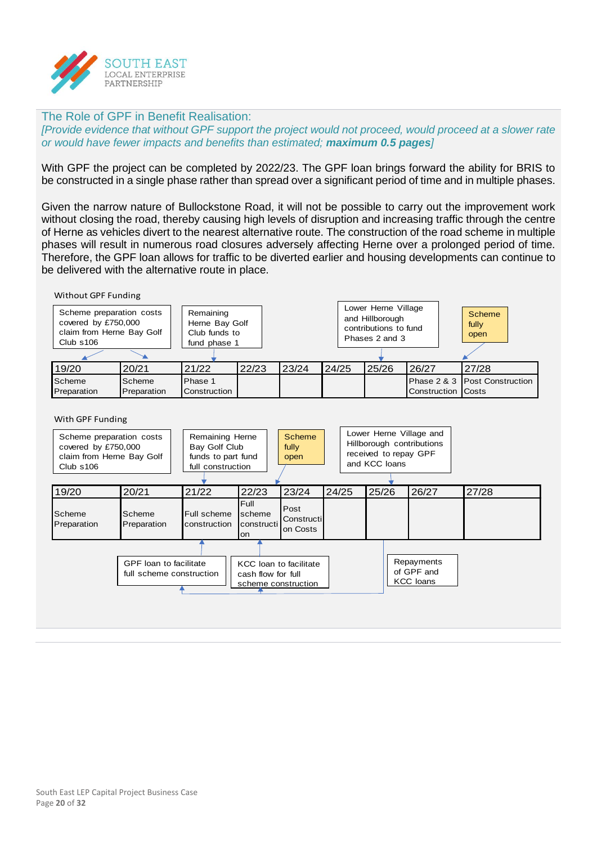

#### The Role of GPF in Benefit Realisation:

*[Provide evidence that without GPF support the project would not proceed, would proceed at a slower rate or would have fewer impacts and benefits than estimated; maximum 0.5 pages]*

With GPF the project can be completed by 2022/23. The GPF loan brings forward the ability for BRIS to be constructed in a single phase rather than spread over a significant period of time and in multiple phases.

Given the narrow nature of Bullockstone Road, it will not be possible to carry out the improvement work without closing the road, thereby causing high levels of disruption and increasing traffic through the centre of Herne as vehicles divert to the nearest alternative route. The construction of the road scheme in multiple phases will result in numerous road closures adversely affecting Herne over a prolonged period of time. Therefore, the GPF loan allows for traffic to be diverted earlier and housing developments can continue to be delivered with the alternative route in place.

#### Without GPF Funding

| Scheme preparation costs<br>covered by £750,000<br>claim from Herne Bay Golf<br>Club s106 |                       | Remaining<br>Herne Bay Golf<br>Club funds to<br>fund phase 1 |       |       |       | Lower Herne Village<br>and Hillborough<br>contributions to fund<br>Phases 2 and 3 |                           | Scheme<br>fully<br>open       |
|-------------------------------------------------------------------------------------------|-----------------------|--------------------------------------------------------------|-------|-------|-------|-----------------------------------------------------------------------------------|---------------------------|-------------------------------|
| 19/20                                                                                     | 20/21                 | 21/22                                                        | 22/23 | 23/24 | 24/25 | 25/26                                                                             | 26/27                     | 27/28                         |
| Scheme<br>Preparation                                                                     | Scheme<br>Preparation | Phase 1<br>Construction                                      |       |       |       |                                                                                   | <b>Construction Costs</b> | Phase 2 & 3 Post Construction |

#### With GPF Funding

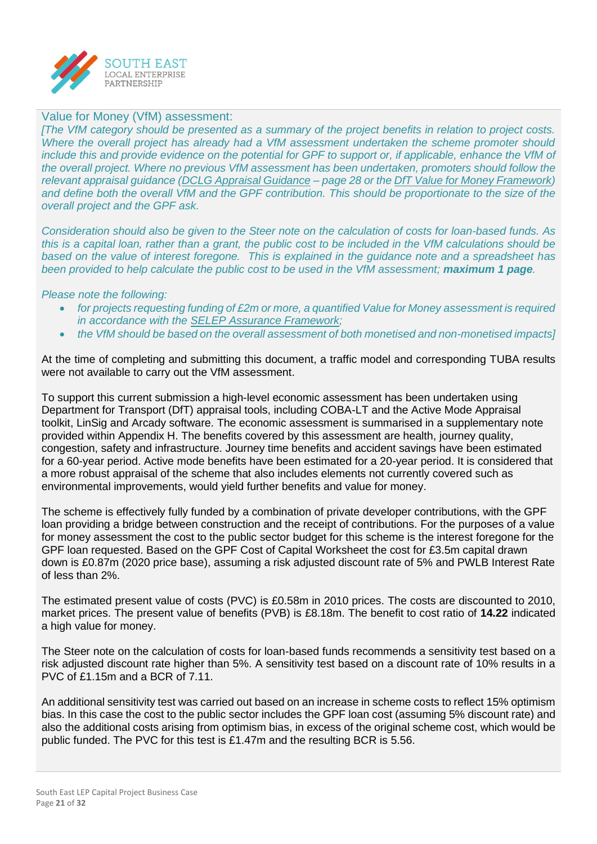

#### Value for Money (VfM) assessment:

*[The VfM category should be presented as a summary of the project benefits in relation to project costs. Where the overall project has already had a VfM assessment undertaken the scheme promoter should include this and provide evidence on the potential for GPF to support or, if applicable, enhance the VfM of the overall project. Where no previous VfM assessment has been undertaken, promoters should follow the relevant appraisal guidance [\(DCLG Appraisal Guidance](https://assets.publishing.service.gov.uk/government/uploads/system/uploads/attachment_data/file/576427/161129_Appraisal_Guidance.pdf) – page 28 or the [DfT Value for Money Framework\)](https://assets.publishing.service.gov.uk/government/uploads/system/uploads/attachment_data/file/630704/value-for-money-framework.pdf)*  and define both the overall VfM and the GPF contribution. This should be proportionate to the size of the *overall project and the GPF ask.*

*Consideration should also be given to the Steer note on the calculation of costs for loan-based funds. As this is a capital loan, rather than a grant, the public cost to be included in the VfM calculations should be based on the value of interest foregone. This is explained in the guidance note and a spreadsheet has been provided to help calculate the public cost to be used in the VfM assessment; maximum 1 page.* 

#### *Please note the following:*

- *for projects requesting funding of £2m or more, a quantified Value for Money assessment is required in accordance with the [SELEP Assurance Framework;](file:///Y:/Local%20Enterprise%20Partnership/Governance/Policies/Assurance%20Framework/Assurance%20Framework%202019/Assurance%20Framework%202019%20FINAL.pdf)*
- *the VfM should be based on the overall assessment of both monetised and non-monetised impacts]*

At the time of completing and submitting this document, a traffic model and corresponding TUBA results were not available to carry out the VfM assessment.

To support this current submission a high-level economic assessment has been undertaken using Department for Transport (DfT) appraisal tools, including COBA-LT and the Active Mode Appraisal toolkit, LinSig and Arcady software. The economic assessment is summarised in a supplementary note provided within Appendix H. The benefits covered by this assessment are health, journey quality, congestion, safety and infrastructure. Journey time benefits and accident savings have been estimated for a 60-year period. Active mode benefits have been estimated for a 20-year period. It is considered that a more robust appraisal of the scheme that also includes elements not currently covered such as environmental improvements, would yield further benefits and value for money.

The scheme is effectively fully funded by a combination of private developer contributions, with the GPF loan providing a bridge between construction and the receipt of contributions. For the purposes of a value for money assessment the cost to the public sector budget for this scheme is the interest foregone for the GPF loan requested. Based on the GPF Cost of Capital Worksheet the cost for £3.5m capital drawn down is £0.87m (2020 price base), assuming a risk adjusted discount rate of 5% and PWLB Interest Rate of less than 2%.

The estimated present value of costs (PVC) is £0.58m in 2010 prices. The costs are discounted to 2010, market prices. The present value of benefits (PVB) is £8.18m. The benefit to cost ratio of **14.22** indicated a high value for money.

The Steer note on the calculation of costs for loan-based funds recommends a sensitivity test based on a risk adjusted discount rate higher than 5%. A sensitivity test based on a discount rate of 10% results in a PVC of £1.15m and a BCR of 7.11.

An additional sensitivity test was carried out based on an increase in scheme costs to reflect 15% optimism bias. In this case the cost to the public sector includes the GPF loan cost (assuming 5% discount rate) and also the additional costs arising from optimism bias, in excess of the original scheme cost, which would be public funded. The PVC for this test is £1.47m and the resulting BCR is 5.56.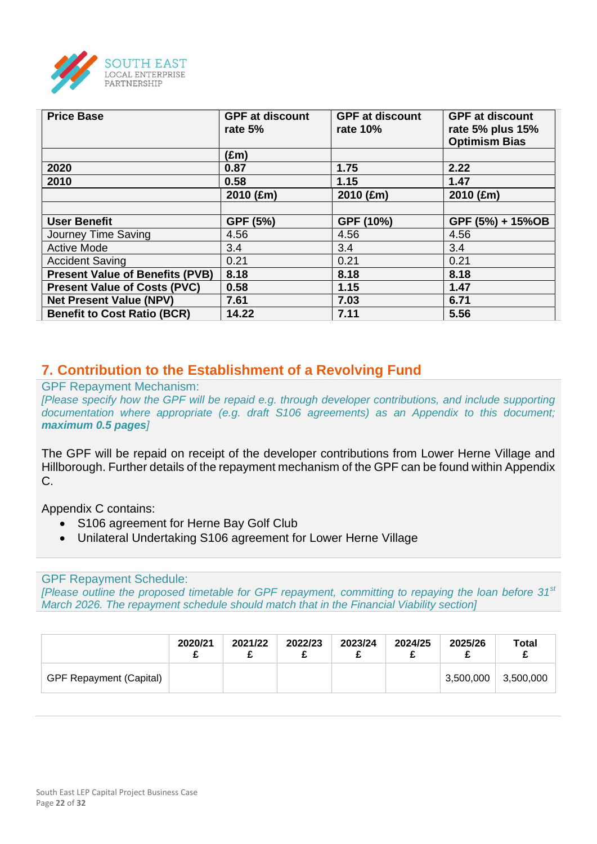

| <b>Price Base</b>                      | <b>GPF at discount</b><br>rate $5%$ | <b>GPF at discount</b><br>rate 10% | <b>GPF at discount</b><br>rate 5% plus 15%<br><b>Optimism Bias</b> |
|----------------------------------------|-------------------------------------|------------------------------------|--------------------------------------------------------------------|
|                                        | $(\text{Em})$                       |                                    |                                                                    |
| 2020                                   | 0.87                                | 1.75                               | 2.22                                                               |
| 2010                                   | 0.58                                | 1.15                               | 1.47                                                               |
|                                        | 2010 (£m)                           | 2010 (£m)                          | 2010 (£m)                                                          |
|                                        |                                     |                                    |                                                                    |
| <b>User Benefit</b>                    | GPF (5%)                            | GPF (10%)                          | GPF (5%) + 15%OB                                                   |
| Journey Time Saving                    | 4.56                                | 4.56                               | 4.56                                                               |
| <b>Active Mode</b>                     | 3.4                                 | 3.4                                | 3.4                                                                |
| <b>Accident Saving</b>                 | 0.21                                | 0.21                               | 0.21                                                               |
| <b>Present Value of Benefits (PVB)</b> | 8.18                                | 8.18                               | 8.18                                                               |
| <b>Present Value of Costs (PVC)</b>    | 0.58                                | 1.15                               | 1.47                                                               |
| <b>Net Present Value (NPV)</b>         | 7.61                                | 7.03                               | 6.71                                                               |
| <b>Benefit to Cost Ratio (BCR)</b>     | 14.22                               | 7.11                               | 5.56                                                               |

## **7. Contribution to the Establishment of a Revolving Fund**

GPF Repayment Mechanism:

*[Please specify how the GPF will be repaid e.g. through developer contributions, and include supporting documentation where appropriate (e.g. draft S106 agreements) as an Appendix to this document; maximum 0.5 pages]*

The GPF will be repaid on receipt of the developer contributions from Lower Herne Village and Hillborough. Further details of the repayment mechanism of the GPF can be found within Appendix C.

Appendix C contains:

- S106 agreement for Herne Bay Golf Club
- Unilateral Undertaking S106 agreement for Lower Herne Village

GPF Repayment Schedule:

*[Please outline the proposed timetable for GPF repayment, committing to repaying the loan before 31st March 2026. The repayment schedule should match that in the Financial Viability section]*

|                                | 2020/21 | 2021/22 | 2022/23 | 2023/24 | 2024/25 | 2025/26   | <b>Total</b> |
|--------------------------------|---------|---------|---------|---------|---------|-----------|--------------|
| <b>GPF Repayment (Capital)</b> |         |         |         |         |         | 3,500,000 | 3,500,000    |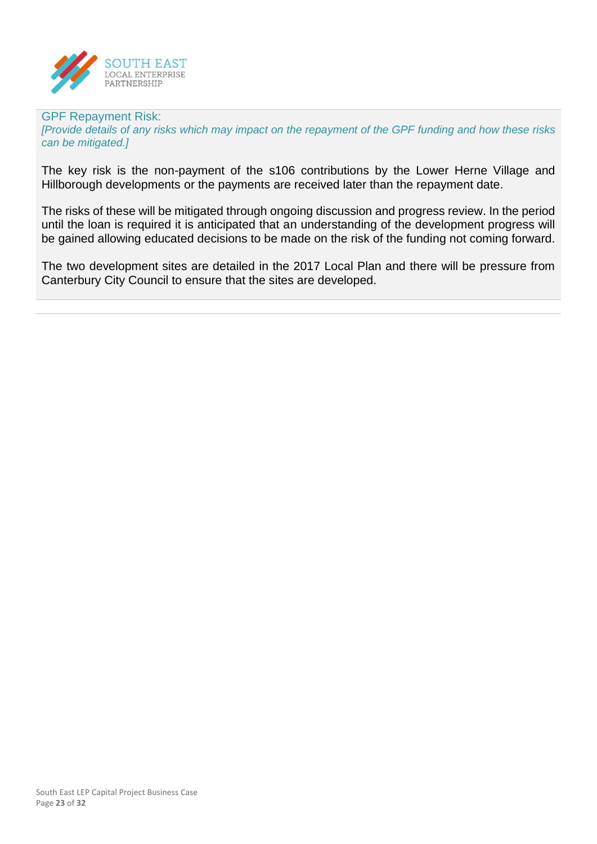

## GPF Repayment Risk:

*[Provide details of any risks which may impact on the repayment of the GPF funding and how these risks can be mitigated.]*

The key risk is the non-payment of the s106 contributions by the Lower Herne Village and Hillborough developments or the payments are received later than the repayment date.

The risks of these will be mitigated through ongoing discussion and progress review. In the period until the loan is required it is anticipated that an understanding of the development progress will be gained allowing educated decisions to be made on the risk of the funding not coming forward.

The two development sites are detailed in the 2017 Local Plan and there will be pressure from Canterbury City Council to ensure that the sites are developed.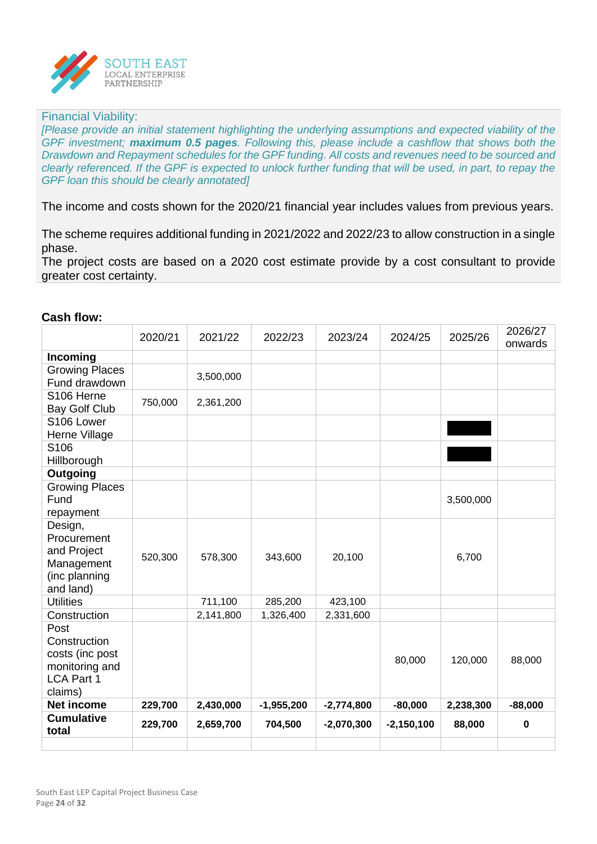

#### Financial Viability:

*[Please provide an initial statement highlighting the underlying assumptions and expected viability of the GPF investment; maximum 0.5 pages. Following this, please include a cashflow that shows both the Drawdown and Repayment schedules for the GPF funding. All costs and revenues need to be sourced and clearly referenced. If the GPF is expected to unlock further funding that will be used, in part, to repay the GPF loan this should be clearly annotated]*

The income and costs shown for the 2020/21 financial year includes values from previous years.

The scheme requires additional funding in 2021/2022 and 2022/23 to allow construction in a single phase.

The project costs are based on a 2020 cost estimate provide by a cost consultant to provide greater cost certainty.

| I<br>ısn ı | O<br>N<br>. . |
|------------|---------------|
|            |               |

|                                                                                           | 2020/21 | 2021/22   | 2022/23      | 2023/24      | 2024/25      | 2025/26   | 2026/27<br>onwards |
|-------------------------------------------------------------------------------------------|---------|-----------|--------------|--------------|--------------|-----------|--------------------|
| Incoming                                                                                  |         |           |              |              |              |           |                    |
| <b>Growing Places</b><br>Fund drawdown                                                    |         | 3,500,000 |              |              |              |           |                    |
| S106 Herne<br>Bay Golf Club                                                               | 750,000 | 2,361,200 |              |              |              |           |                    |
| S106 Lower<br>Herne Village                                                               |         |           |              |              |              |           |                    |
| S106<br>Hillborough                                                                       |         |           |              |              |              |           |                    |
| Outgoing                                                                                  |         |           |              |              |              |           |                    |
| <b>Growing Places</b><br>Fund<br>repayment                                                |         |           |              |              |              | 3,500,000 |                    |
| Design,<br>Procurement<br>and Project<br>Management<br>(inc planning<br>and land)         | 520,300 | 578,300   | 343,600      | 20,100       |              | 6,700     |                    |
| <b>Utilities</b>                                                                          |         | 711,100   | 285,200      | 423,100      |              |           |                    |
| Construction                                                                              |         | 2,141,800 | 1,326,400    | 2,331,600    |              |           |                    |
| Post<br>Construction<br>costs (inc post<br>monitoring and<br><b>LCA Part 1</b><br>claims) |         |           |              |              | 80,000       | 120,000   | 88,000             |
| Net income                                                                                | 229,700 | 2,430,000 | $-1,955,200$ | $-2,774,800$ | $-80,000$    | 2,238,300 | $-88,000$          |
| <b>Cumulative</b><br>total                                                                | 229,700 | 2,659,700 | 704,500      | $-2,070,300$ | $-2,150,100$ | 88,000    | $\mathbf 0$        |
|                                                                                           |         |           |              |              |              |           |                    |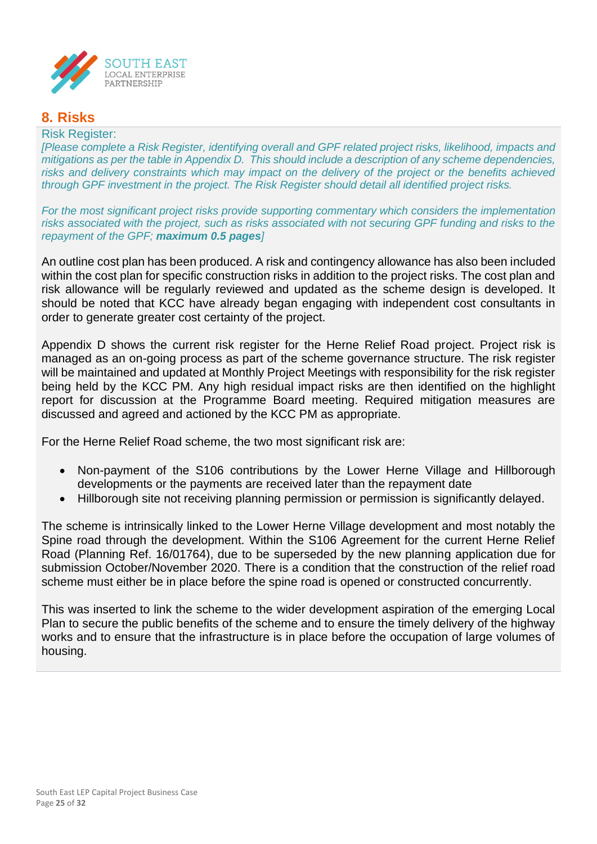

## **8. Risks**

#### Risk Register:

*[Please complete a Risk Register, identifying overall and GPF related project risks, likelihood, impacts and mitigations as per the table in Appendix D. This should include a description of any scheme dependencies,*  risks and delivery constraints which may impact on the delivery of the project or the benefits achieved *through GPF investment in the project. The Risk Register should detail all identified project risks.*

*For the most significant project risks provide supporting commentary which considers the implementation risks associated with the project, such as risks associated with not securing GPF funding and risks to the repayment of the GPF; maximum 0.5 pages]*

An outline cost plan has been produced. A risk and contingency allowance has also been included within the cost plan for specific construction risks in addition to the project risks. The cost plan and risk allowance will be regularly reviewed and updated as the scheme design is developed. It should be noted that KCC have already began engaging with independent cost consultants in order to generate greater cost certainty of the project.

Appendix D shows the current risk register for the Herne Relief Road project. Project risk is managed as an on-going process as part of the scheme governance structure. The risk register will be maintained and updated at Monthly Project Meetings with responsibility for the risk register being held by the KCC PM. Any high residual impact risks are then identified on the highlight report for discussion at the Programme Board meeting. Required mitigation measures are discussed and agreed and actioned by the KCC PM as appropriate.

For the Herne Relief Road scheme, the two most significant risk are:

- Non-payment of the S106 contributions by the Lower Herne Village and Hillborough developments or the payments are received later than the repayment date
- Hillborough site not receiving planning permission or permission is significantly delayed.

The scheme is intrinsically linked to the Lower Herne Village development and most notably the Spine road through the development. Within the S106 Agreement for the current Herne Relief Road (Planning Ref. 16/01764), due to be superseded by the new planning application due for submission October/November 2020. There is a condition that the construction of the relief road scheme must either be in place before the spine road is opened or constructed concurrently.

This was inserted to link the scheme to the wider development aspiration of the emerging Local Plan to secure the public benefits of the scheme and to ensure the timely delivery of the highway works and to ensure that the infrastructure is in place before the occupation of large volumes of housing.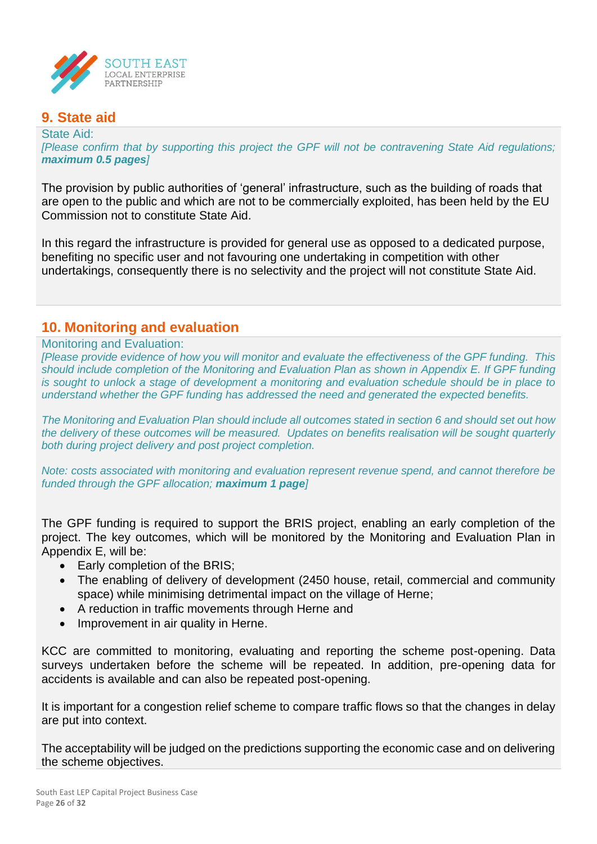

## **9. State aid**

State Aid: *[Please confirm that by supporting this project the GPF will not be contravening State Aid regulations; maximum 0.5 pages]*

The provision by public authorities of 'general' infrastructure, such as the building of roads that are open to the public and which are not to be commercially exploited, has been held by the EU Commission not to constitute State Aid.

In this regard the infrastructure is provided for general use as opposed to a dedicated purpose, benefiting no specific user and not favouring one undertaking in competition with other undertakings, consequently there is no selectivity and the project will not constitute State Aid.

## **10. Monitoring and evaluation**

#### Monitoring and Evaluation:

*[Please provide evidence of how you will monitor and evaluate the effectiveness of the GPF funding. This should include completion of the Monitoring and Evaluation Plan as shown in Appendix E. If GPF funding is sought to unlock a stage of development a monitoring and evaluation schedule should be in place to understand whether the GPF funding has addressed the need and generated the expected benefits.*

*The Monitoring and Evaluation Plan should include all outcomes stated in section 6 and should set out how the delivery of these outcomes will be measured. Updates on benefits realisation will be sought quarterly both during project delivery and post project completion.*

*Note: costs associated with monitoring and evaluation represent revenue spend, and cannot therefore be funded through the GPF allocation; maximum 1 page]*

The GPF funding is required to support the BRIS project, enabling an early completion of the project. The key outcomes, which will be monitored by the Monitoring and Evaluation Plan in Appendix E, will be:

- Early completion of the BRIS:
- The enabling of delivery of development (2450 house, retail, commercial and community space) while minimising detrimental impact on the village of Herne;
- A reduction in traffic movements through Herne and
- Improvement in air quality in Herne.

KCC are committed to monitoring, evaluating and reporting the scheme post-opening. Data surveys undertaken before the scheme will be repeated. In addition, pre-opening data for accidents is available and can also be repeated post-opening.

It is important for a congestion relief scheme to compare traffic flows so that the changes in delay are put into context.

The acceptability will be judged on the predictions supporting the economic case and on delivering the scheme objectives.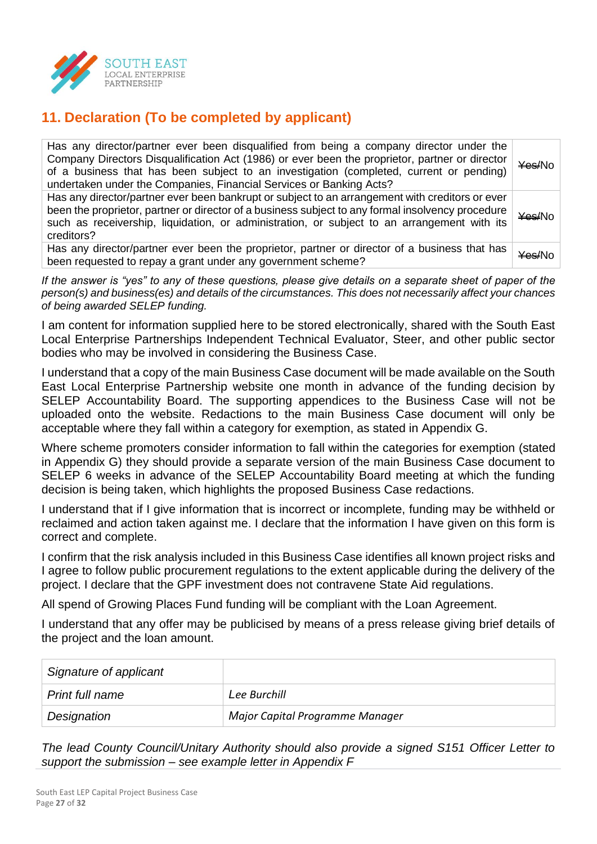

## **11. Declaration (To be completed by applicant)**

| Has any director/partner ever been disqualified from being a company director under the<br>Company Directors Disqualification Act (1986) or ever been the proprietor, partner or director<br>of a business that has been subject to an investigation (completed, current or pending)<br>undertaken under the Companies, Financial Services or Banking Acts? | <del>¥es/</del> No |
|-------------------------------------------------------------------------------------------------------------------------------------------------------------------------------------------------------------------------------------------------------------------------------------------------------------------------------------------------------------|--------------------|
| Has any director/partner ever been bankrupt or subject to an arrangement with creditors or ever<br>been the proprietor, partner or director of a business subject to any formal insolvency procedure<br>such as receivership, liquidation, or administration, or subject to an arrangement with its<br>creditors?                                           | ¥es/No             |
| Has any director/partner ever been the proprietor, partner or director of a business that has<br>been requested to repay a grant under any government scheme?                                                                                                                                                                                               | <del>¥es/</del> No |

*If the answer is "yes" to any of these questions, please give details on a separate sheet of paper of the person(s) and business(es) and details of the circumstances. This does not necessarily affect your chances of being awarded SELEP funding.*

I am content for information supplied here to be stored electronically, shared with the South East Local Enterprise Partnerships Independent Technical Evaluator, Steer, and other public sector bodies who may be involved in considering the Business Case.

I understand that a copy of the main Business Case document will be made available on the South East Local Enterprise Partnership website one month in advance of the funding decision by SELEP Accountability Board. The supporting appendices to the Business Case will not be uploaded onto the website. Redactions to the main Business Case document will only be acceptable where they fall within a category for exemption, as stated in Appendix G.

Where scheme promoters consider information to fall within the categories for exemption (stated in Appendix G) they should provide a separate version of the main Business Case document to SELEP 6 weeks in advance of the SELEP Accountability Board meeting at which the funding decision is being taken, which highlights the proposed Business Case redactions.

I understand that if I give information that is incorrect or incomplete, funding may be withheld or reclaimed and action taken against me. I declare that the information I have given on this form is correct and complete.

I confirm that the risk analysis included in this Business Case identifies all known project risks and I agree to follow public procurement regulations to the extent applicable during the delivery of the project. I declare that the GPF investment does not contravene State Aid regulations.

All spend of Growing Places Fund funding will be compliant with the Loan Agreement.

I understand that any offer may be publicised by means of a press release giving brief details of the project and the loan amount.

| Signature of applicant |                                 |
|------------------------|---------------------------------|
| Print full name        | Lee Burchill                    |
| Designation            | Major Capital Programme Manager |

*The lead County Council/Unitary Authority should also provide a signed S151 Officer Letter to support the submission – see example letter in Appendix F*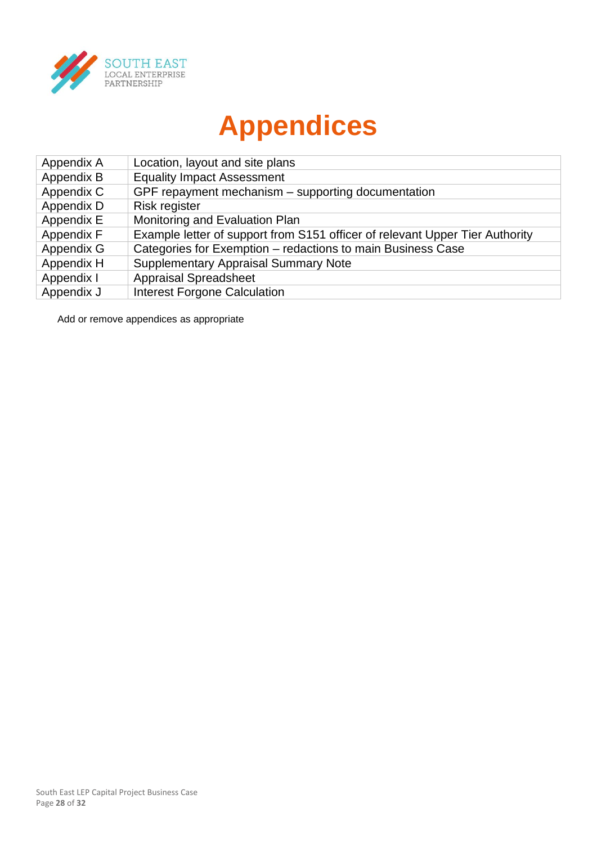

# **Appendices**

| Appendix A | Location, layout and site plans                                              |
|------------|------------------------------------------------------------------------------|
| Appendix B | <b>Equality Impact Assessment</b>                                            |
| Appendix C | GPF repayment mechanism - supporting documentation                           |
| Appendix D | Risk register                                                                |
| Appendix E | Monitoring and Evaluation Plan                                               |
| Appendix F | Example letter of support from S151 officer of relevant Upper Tier Authority |
| Appendix G | Categories for Exemption - redactions to main Business Case                  |
| Appendix H | <b>Supplementary Appraisal Summary Note</b>                                  |
| Appendix I | <b>Appraisal Spreadsheet</b>                                                 |
| Appendix J | <b>Interest Forgone Calculation</b>                                          |

Add or remove appendices as appropriate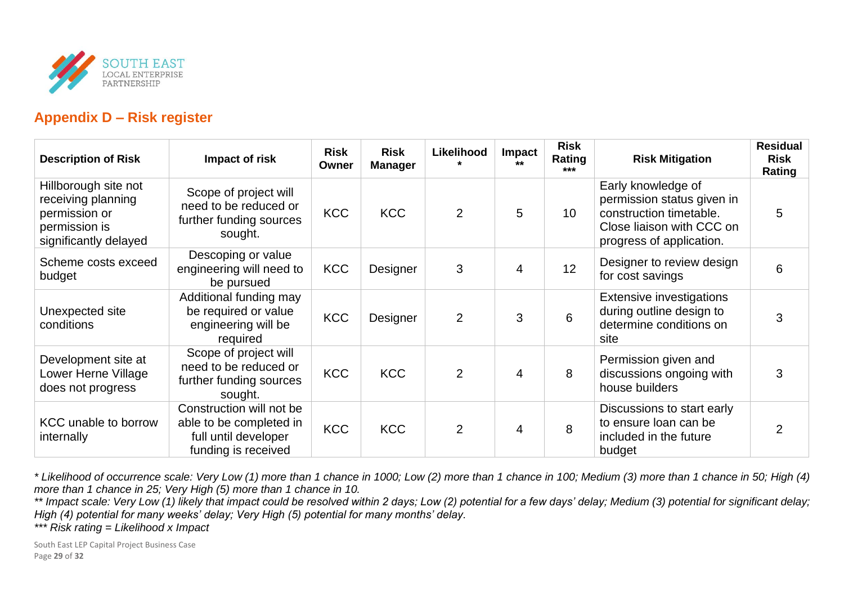

## **Appendix D – Risk register**

| <b>Description of Risk</b>                                                                            | Impact of risk                                                                                     | <b>Risk</b><br>Owner | <b>Risk</b><br><b>Manager</b> | Likelihood     | Impact<br>$***$ | <b>Risk</b><br>Rating<br>*** | <b>Risk Mitigation</b>                                                                                                               | <b>Residual</b><br><b>Risk</b><br>Rating |
|-------------------------------------------------------------------------------------------------------|----------------------------------------------------------------------------------------------------|----------------------|-------------------------------|----------------|-----------------|------------------------------|--------------------------------------------------------------------------------------------------------------------------------------|------------------------------------------|
| Hillborough site not<br>receiving planning<br>permission or<br>permission is<br>significantly delayed | Scope of project will<br>need to be reduced or<br>further funding sources<br>sought.               | <b>KCC</b>           | <b>KCC</b>                    | $\overline{2}$ | 5               | 10                           | Early knowledge of<br>permission status given in<br>construction timetable.<br>Close liaison with CCC on<br>progress of application. | 5                                        |
| Scheme costs exceed<br>budget                                                                         | Descoping or value<br>engineering will need to<br>be pursued                                       | <b>KCC</b>           | Designer                      | 3              | 4               | 12                           | Designer to review design<br>for cost savings                                                                                        | 6                                        |
| Unexpected site<br>conditions                                                                         | Additional funding may<br>be required or value<br>engineering will be<br>required                  | <b>KCC</b>           | Designer                      | $\overline{2}$ | 3               | 6                            | <b>Extensive investigations</b><br>during outline design to<br>determine conditions on<br>site                                       | 3                                        |
| Development site at<br>Lower Herne Village<br>does not progress                                       | Scope of project will<br>need to be reduced or<br>further funding sources<br>sought.               | <b>KCC</b>           | <b>KCC</b>                    | $\overline{2}$ | 4               | 8                            | Permission given and<br>discussions ongoing with<br>house builders                                                                   | 3                                        |
| <b>KCC</b> unable to borrow<br>internally                                                             | Construction will not be<br>able to be completed in<br>full until developer<br>funding is received | <b>KCC</b>           | <b>KCC</b>                    | $\overline{2}$ | $\overline{4}$  | 8                            | Discussions to start early<br>to ensure loan can be<br>included in the future<br>budget                                              | $\overline{2}$                           |

*\* Likelihood of occurrence scale: Very Low (1) more than 1 chance in 1000; Low (2) more than 1 chance in 100; Medium (3) more than 1 chance in 50; High (4) more than 1 chance in 25; Very High (5) more than 1 chance in 10.*

*\*\* Impact scale: Very Low (1) likely that impact could be resolved within 2 days; Low (2) potential for a few days' delay; Medium (3) potential for significant delay; High (4) potential for many weeks' delay; Very High (5) potential for many months' delay.*

*\*\*\* Risk rating = Likelihood x Impact*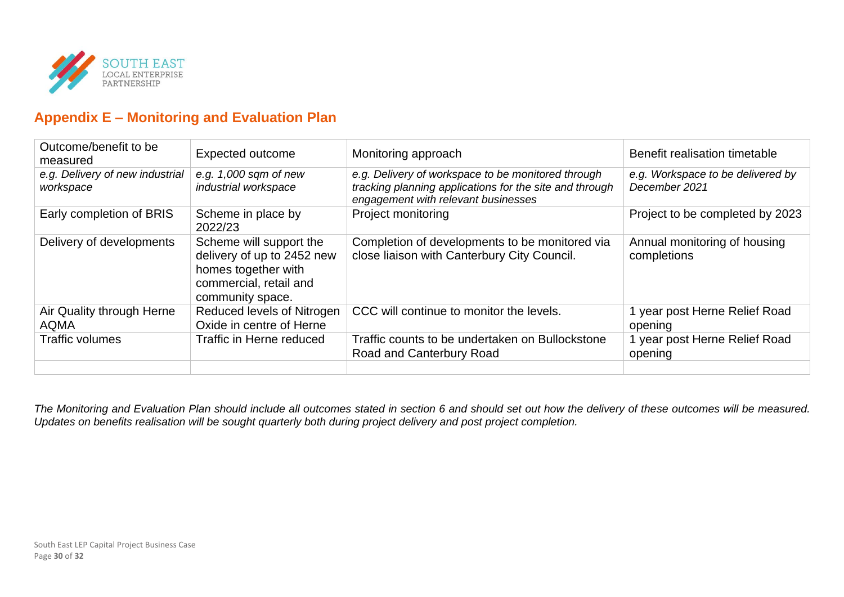

## **Appendix E – Monitoring and Evaluation Plan**

| Outcome/benefit to be<br>measured            | <b>Expected outcome</b>                                                                                                    | Monitoring approach                                                                                                                                  | Benefit realisation timetable                      |
|----------------------------------------------|----------------------------------------------------------------------------------------------------------------------------|------------------------------------------------------------------------------------------------------------------------------------------------------|----------------------------------------------------|
| e.g. Delivery of new industrial<br>workspace | e.g. $1,000$ sqm of new<br>industrial workspace                                                                            | e.g. Delivery of workspace to be monitored through<br>tracking planning applications for the site and through<br>engagement with relevant businesses | e.g. Workspace to be delivered by<br>December 2021 |
| Early completion of BRIS                     | Scheme in place by<br>2022/23                                                                                              | Project monitoring                                                                                                                                   | Project to be completed by 2023                    |
| Delivery of developments                     | Scheme will support the<br>delivery of up to 2452 new<br>homes together with<br>commercial, retail and<br>community space. | Completion of developments to be monitored via<br>close liaison with Canterbury City Council.                                                        | Annual monitoring of housing<br>completions        |
| Air Quality through Herne<br><b>AQMA</b>     | Reduced levels of Nitrogen<br>Oxide in centre of Herne                                                                     | CCC will continue to monitor the levels.                                                                                                             | 1 year post Herne Relief Road<br>opening           |
| <b>Traffic volumes</b>                       | Traffic in Herne reduced                                                                                                   | Traffic counts to be undertaken on Bullockstone<br>Road and Canterbury Road                                                                          | 1 year post Herne Relief Road<br>opening           |

*The Monitoring and Evaluation Plan should include all outcomes stated in section 6 and should set out how the delivery of these outcomes will be measured. Updates on benefits realisation will be sought quarterly both during project delivery and post project completion.*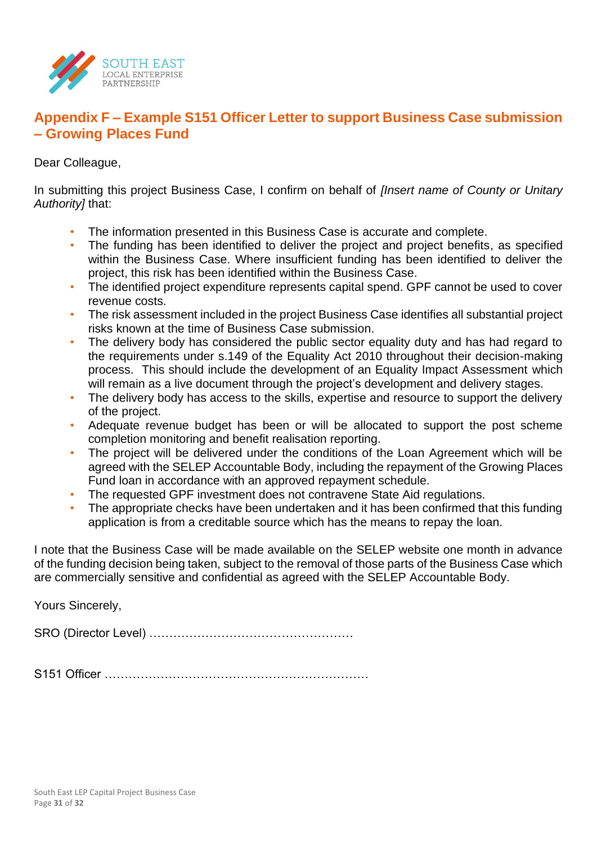

## **Appendix F – Example S151 Officer Letter to support Business Case submission – Growing Places Fund**

Dear Colleague,

In submitting this project Business Case, I confirm on behalf of *[Insert name of County or Unitary Authority]* that:

- The information presented in this Business Case is accurate and complete.
- The funding has been identified to deliver the project and project benefits, as specified within the Business Case. Where insufficient funding has been identified to deliver the project, this risk has been identified within the Business Case.
- The identified project expenditure represents capital spend. GPF cannot be used to cover revenue costs.
- The risk assessment included in the project Business Case identifies all substantial project risks known at the time of Business Case submission.
- The delivery body has considered the public sector equality duty and has had regard to the requirements under s.149 of the Equality Act 2010 throughout their decision-making process. This should include the development of an Equality Impact Assessment which will remain as a live document through the project's development and delivery stages.
- The delivery body has access to the skills, expertise and resource to support the delivery of the project.
- Adequate revenue budget has been or will be allocated to support the post scheme completion monitoring and benefit realisation reporting.
- The project will be delivered under the conditions of the Loan Agreement which will be agreed with the SELEP Accountable Body, including the repayment of the Growing Places Fund loan in accordance with an approved repayment schedule.
- The requested GPF investment does not contravene State Aid regulations.
- The appropriate checks have been undertaken and it has been confirmed that this funding application is from a creditable source which has the means to repay the loan.

I note that the Business Case will be made available on the SELEP website one month in advance of the funding decision being taken, subject to the removal of those parts of the Business Case which are commercially sensitive and confidential as agreed with the SELEP Accountable Body.

Yours Sincerely,

SRO (Director Level) ……………………………………………

S151 Officer …………………………………………………………